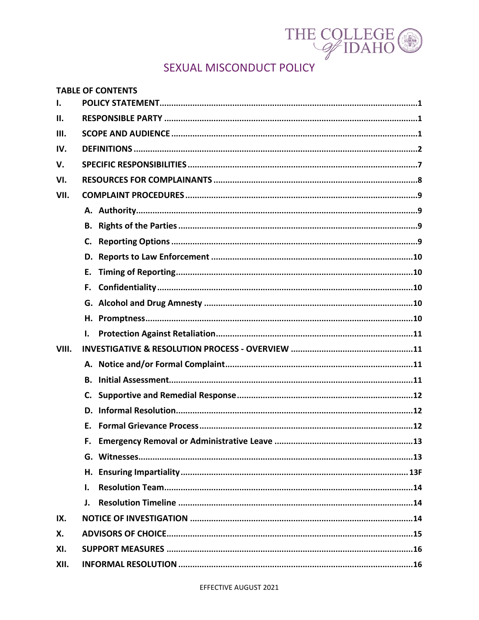

# SEXUAL MISCONDUCT POLICY

|       | <b>TABLE OF CONTENTS</b> |  |  |
|-------|--------------------------|--|--|
| I.    |                          |  |  |
| Ш.    |                          |  |  |
| Ш.    |                          |  |  |
| IV.   |                          |  |  |
| V.    |                          |  |  |
| VI.   |                          |  |  |
| VII.  |                          |  |  |
|       |                          |  |  |
|       |                          |  |  |
|       |                          |  |  |
|       |                          |  |  |
|       | Е.                       |  |  |
|       | F.                       |  |  |
|       |                          |  |  |
|       |                          |  |  |
|       | I.                       |  |  |
| VIII. |                          |  |  |
|       |                          |  |  |
|       |                          |  |  |
|       | C.                       |  |  |
|       | D.                       |  |  |
|       | F.                       |  |  |
|       |                          |  |  |
|       |                          |  |  |
|       | Н.                       |  |  |
|       | ı.                       |  |  |
|       | J.                       |  |  |
| IX.   |                          |  |  |
| Х.    |                          |  |  |
| XI.   |                          |  |  |
| XII.  |                          |  |  |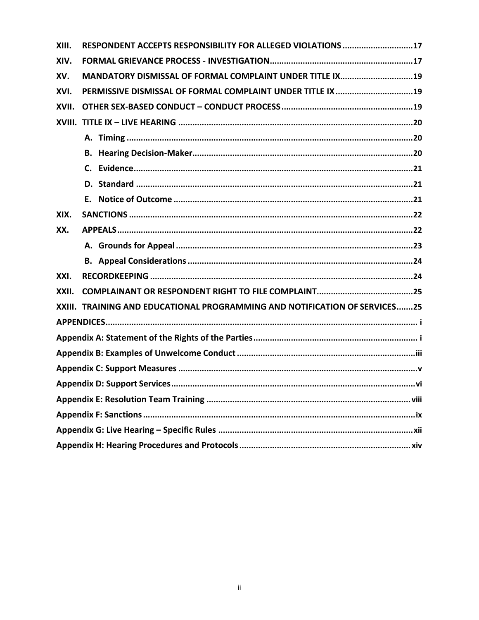| XIII. | RESPONDENT ACCEPTS RESPONSIBILITY FOR ALLEGED VIOLATIONS 17                |  |  |  |
|-------|----------------------------------------------------------------------------|--|--|--|
| XIV.  |                                                                            |  |  |  |
| XV.   | MANDATORY DISMISSAL OF FORMAL COMPLAINT UNDER TITLE IX19                   |  |  |  |
| XVI.  | PERMISSIVE DISMISSAL OF FORMAL COMPLAINT UNDER TITLE IX19                  |  |  |  |
| XVII. |                                                                            |  |  |  |
|       |                                                                            |  |  |  |
|       |                                                                            |  |  |  |
|       |                                                                            |  |  |  |
|       |                                                                            |  |  |  |
|       |                                                                            |  |  |  |
|       |                                                                            |  |  |  |
| XIX.  |                                                                            |  |  |  |
| XX.   |                                                                            |  |  |  |
|       |                                                                            |  |  |  |
|       |                                                                            |  |  |  |
| XXI.  |                                                                            |  |  |  |
| XXII. |                                                                            |  |  |  |
|       | XXIII. TRAINING AND EDUCATIONAL PROGRAMMING AND NOTIFICATION OF SERVICES25 |  |  |  |
|       |                                                                            |  |  |  |
|       |                                                                            |  |  |  |
|       |                                                                            |  |  |  |
|       |                                                                            |  |  |  |
|       |                                                                            |  |  |  |
|       |                                                                            |  |  |  |
|       |                                                                            |  |  |  |
|       |                                                                            |  |  |  |
|       |                                                                            |  |  |  |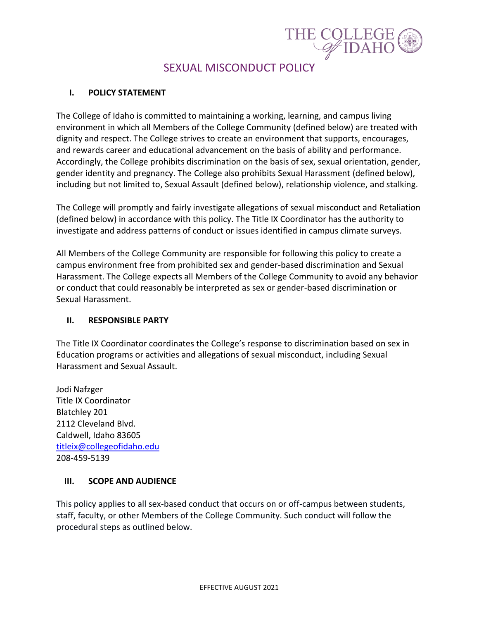

# SEXUAL MISCONDUCT POLICY

#### <span id="page-2-0"></span>**I. POLICY STATEMENT**

The College of Idaho is committed to maintaining a working, learning, and campus living environment in which all Members of the College Community (defined below) are treated with dignity and respect. The College strives to create an environment that supports, encourages, and rewards career and educational advancement on the basis of ability and performance. Accordingly, the College prohibits discrimination on the basis of sex, sexual orientation, gender, gender identity and pregnancy. The College also prohibits Sexual Harassment (defined below), including but not limited to, Sexual Assault (defined below), relationship violence, and stalking.

The College will promptly and fairly investigate allegations of sexual misconduct and Retaliation (defined below) in accordance with this policy. The Title IX Coordinator has the authority to investigate and address patterns of conduct or issues identified in campus climate surveys.

All Members of the College Community are responsible for following this policy to create a campus environment free from prohibited sex and gender-based discrimination and Sexual Harassment. The College expects all Members of the College Community to avoid any behavior or conduct that could reasonably be interpreted as sex or gender-based discrimination or Sexual Harassment.

#### <span id="page-2-1"></span>**II. RESPONSIBLE PARTY**

The Title IX Coordinator coordinates the College's response to discrimination based on sex in Education programs or activities and allegations of sexual misconduct, including Sexual Harassment and Sexual Assault.

Jodi Nafzger Title IX Coordinator Blatchley 201 2112 Cleveland Blvd. Caldwell, Idaho 83605 [titleix@collegeofidaho.edu](mailto:titleix@collegeofidaho.edu) 208-459-5139

#### <span id="page-2-2"></span>**III. SCOPE AND AUDIENCE**

This policy applies to all sex-based conduct that occurs on or off-campus between students, staff, faculty, or other Members of the College Community. Such conduct will follow the procedural steps as outlined below.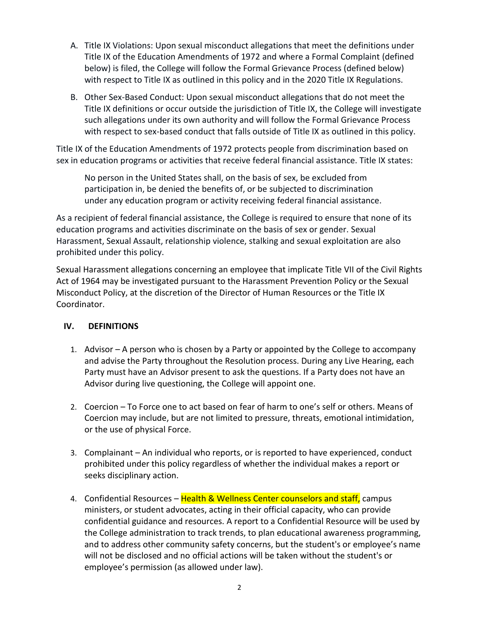- A. Title IX Violations: Upon sexual misconduct allegations that meet the definitions under Title IX of the Education Amendments of 1972 and where a Formal Complaint (defined below) is filed, the College will follow the Formal Grievance Process (defined below) with respect to Title IX as outlined in this policy and in the 2020 Title IX Regulations.
- B. Other Sex-Based Conduct: Upon sexual misconduct allegations that do not meet the Title IX definitions or occur outside the jurisdiction of Title IX, the College will investigate such allegations under its own authority and will follow the Formal Grievance Process with respect to sex-based conduct that falls outside of Title IX as outlined in this policy.

Title IX of the Education Amendments of 1972 protects people from discrimination based on sex in education programs or activities that receive federal financial assistance. Title IX states:

No person in the United States shall, on the basis of sex, be excluded from participation in, be denied the benefits of, or be subjected to discrimination under any education program or activity receiving federal financial assistance.

As a recipient of federal financial assistance, the College is required to ensure that none of its education programs and activities discriminate on the basis of sex or gender. Sexual Harassment, Sexual Assault, relationship violence, stalking and sexual exploitation are also prohibited under this policy.

Sexual Harassment allegations concerning an employee that implicate Title VII of the Civil Rights Act of 1964 may be investigated pursuant to the Harassment Prevention Policy or the Sexual Misconduct Policy, at the discretion of the Director of Human Resources or the Title IX Coordinator.

#### <span id="page-3-0"></span>**IV. DEFINITIONS**

- 1. Advisor A person who is chosen by a Party or appointed by the College to accompany and advise the Party throughout the Resolution process. During any Live Hearing, each Party must have an Advisor present to ask the questions. If a Party does not have an Advisor during live questioning, the College will appoint one.
- 2. Coercion To Force one to act based on fear of harm to one's self or others. Means of Coercion may include, but are not limited to pressure, threats, emotional intimidation, or the use of physical Force.
- 3. Complainant An individual who reports, or is reported to have experienced, conduct prohibited under this policy regardless of whether the individual makes a report or seeks disciplinary action.
- 4. Confidential Resources Health & Wellness Center counselors and staff, campus ministers, or student advocates, acting in their official capacity, who can provide confidential guidance and resources. A report to a Confidential Resource will be used by the College administration to track trends, to plan educational awareness programming, and to address other community safety concerns, but the student's or employee's name will not be disclosed and no official actions will be taken without the student's or employee's permission (as allowed under law).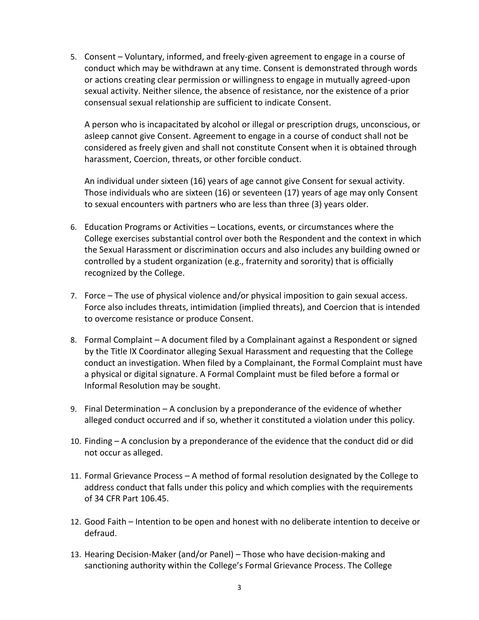5. Consent – Voluntary, informed, and freely-given agreement to engage in a course of conduct which may be withdrawn at any time. Consent is demonstrated through words or actions creating clear permission or willingness to engage in mutually agreed-upon sexual activity. Neither silence, the absence of resistance, nor the existence of a prior consensual sexual relationship are sufficient to indicate Consent.

A person who is incapacitated by alcohol or illegal or prescription drugs, unconscious, or asleep cannot give Consent. Agreement to engage in a course of conduct shall not be considered as freely given and shall not constitute Consent when it is obtained through harassment, Coercion, threats, or other forcible conduct.

An individual under sixteen (16) years of age cannot give Consent for sexual activity. Those individuals who are sixteen (16) or seventeen (17) years of age may only Consent to sexual encounters with partners who are less than three (3) years older.

- 6. Education Programs or Activities Locations, events, or circumstances where the College exercises substantial control over both the Respondent and the context in which the Sexual Harassment or discrimination occurs and also includes any building owned or controlled by a student organization (e.g., fraternity and sorority) that is officially recognized by the College.
- 7. Force The use of physical violence and/or physical imposition to gain sexual access. Force also includes threats, intimidation (implied threats), and Coercion that is intended to overcome resistance or produce Consent.
- 8. Formal Complaint A document filed by a Complainant against a Respondent or signed by the Title IX Coordinator alleging Sexual Harassment and requesting that the College conduct an investigation. When filed by a Complainant, the Formal Complaint must have a physical or digital signature. A Formal Complaint must be filed before a formal or Informal Resolution may be sought.
- 9. Final Determination A conclusion by a preponderance of the evidence of whether alleged conduct occurred and if so, whether it constituted a violation under this policy.
- 10. Finding A conclusion by a preponderance of the evidence that the conduct did or did not occur as alleged.
- 11. Formal Grievance Process A method of formal resolution designated by the College to address conduct that falls under this policy and which complies with the requirements of 34 CFR Part 106.45.
- 12. Good Faith Intention to be open and honest with no deliberate intention to deceive or defraud.
- 13. Hearing Decision-Maker (and/or Panel) Those who have decision-making and sanctioning authority within the College's Formal Grievance Process. The College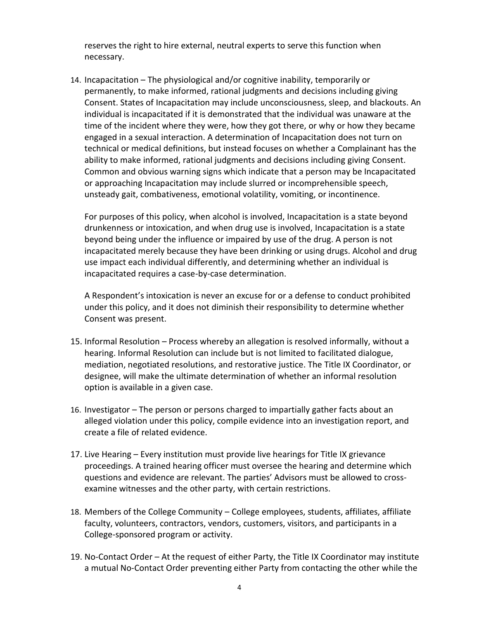reserves the right to hire external, neutral experts to serve this function when necessary.

14. Incapacitation – The physiological and/or cognitive inability, temporarily or permanently, to make informed, rational judgments and decisions including giving Consent. States of Incapacitation may include unconsciousness, sleep, and blackouts. An individual is incapacitated if it is demonstrated that the individual was unaware at the time of the incident where they were, how they got there, or why or how they became engaged in a sexual interaction. A determination of Incapacitation does not turn on technical or medical definitions, but instead focuses on whether a Complainant has the ability to make informed, rational judgments and decisions including giving Consent. Common and obvious warning signs which indicate that a person may be Incapacitated or approaching Incapacitation may include slurred or incomprehensible speech, unsteady gait, combativeness, emotional volatility, vomiting, or incontinence.

For purposes of this policy, when alcohol is involved, Incapacitation is a state beyond drunkenness or intoxication, and when drug use is involved, Incapacitation is a state beyond being under the influence or impaired by use of the drug. A person is not incapacitated merely because they have been drinking or using drugs. Alcohol and drug use impact each individual differently, and determining whether an individual is incapacitated requires a case-by-case determination.

A Respondent's intoxication is never an excuse for or a defense to conduct prohibited under this policy, and it does not diminish their responsibility to determine whether Consent was present.

- 15. Informal Resolution Process whereby an allegation is resolved informally, without a hearing. Informal Resolution can include but is not limited to facilitated dialogue, mediation, negotiated resolutions, and restorative justice. The Title IX Coordinator, or designee, will make the ultimate determination of whether an informal resolution option is available in a given case.
- 16. Investigator The person or persons charged to impartially gather facts about an alleged violation under this policy, compile evidence into an investigation report, and create a file of related evidence.
- 17. Live Hearing Every institution must provide live hearings for Title IX grievance proceedings. A trained hearing officer must oversee the hearing and determine which questions and evidence are relevant. The parties' Advisors must be allowed to crossexamine witnesses and the other party, with certain restrictions.
- 18. Members of the College Community College employees, students, affiliates, affiliate faculty, volunteers, contractors, vendors, customers, visitors, and participants in a College-sponsored program or activity.
- 19. No-Contact Order At the request of either Party, the Title IX Coordinator may institute a mutual No-Contact Order preventing either Party from contacting the other while the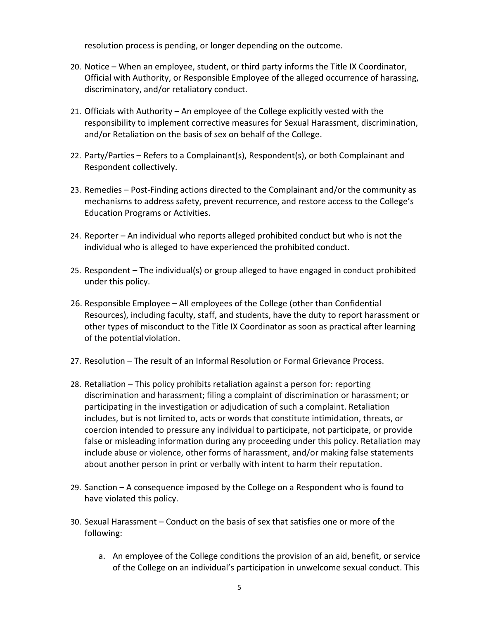resolution process is pending, or longer depending on the outcome.

- 20. Notice When an employee, student, or third party informs the Title IX Coordinator, Official with Authority, or Responsible Employee of the alleged occurrence of harassing, discriminatory, and/or retaliatory conduct.
- 21. Officials with Authority An employee of the College explicitly vested with the responsibility to implement corrective measures for Sexual Harassment, discrimination, and/or Retaliation on the basis of sex on behalf of the College.
- 22. Party/Parties Refers to a Complainant(s), Respondent(s), or both Complainant and Respondent collectively.
- 23. Remedies Post-Finding actions directed to the Complainant and/or the community as mechanisms to address safety, prevent recurrence, and restore access to the College's Education Programs or Activities.
- 24. Reporter An individual who reports alleged prohibited conduct but who is not the individual who is alleged to have experienced the prohibited conduct.
- 25. Respondent The individual(s) or group alleged to have engaged in conduct prohibited under this policy.
- 26. Responsible Employee All employees of the College (other than Confidential Resources), including faculty, staff, and students, have the duty to report harassment or other types of misconduct to the Title IX Coordinator as soon as practical after learning of the potentialviolation.
- 27. Resolution The result of an Informal Resolution or Formal Grievance Process.
- 28. Retaliation This policy prohibits retaliation against a person for: reporting discrimination and harassment; filing a complaint of discrimination or harassment; or participating in the investigation or adjudication of such a complaint. Retaliation includes, but is not limited to, acts or words that constitute intimidation, threats, or coercion intended to pressure any individual to participate, not participate, or provide false or misleading information during any proceeding under this policy. Retaliation may include abuse or violence, other forms of harassment, and/or making false statements about another person in print or verbally with intent to harm their reputation.
- 29. Sanction A consequence imposed by the College on a Respondent who is found to have violated this policy.
- 30. Sexual Harassment Conduct on the basis of sex that satisfies one or more of the following:
	- a. An employee of the College conditions the provision of an aid, benefit, or service of the College on an individual's participation in unwelcome sexual conduct. This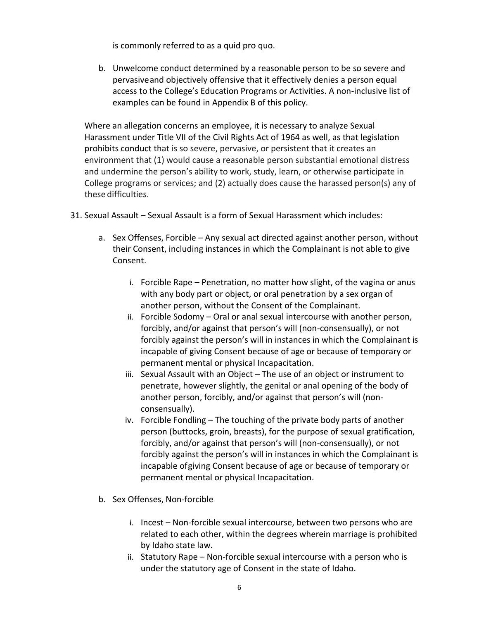is commonly referred to as a quid pro quo.

b. Unwelcome conduct determined by a reasonable person to be so severe and pervasiveand objectively offensive that it effectively denies a person equal access to the College's Education Programs or Activities. A non-inclusive list of examples can be found in Appendix B of this policy.

Where an allegation concerns an employee, it is necessary to analyze Sexual Harassment under Title VII of the Civil Rights Act of 1964 as well, as that legislation prohibits conduct that is so severe, pervasive, or persistent that it creates an environment that (1) would cause a reasonable person substantial emotional distress and undermine the person's ability to work, study, learn, or otherwise participate in College programs or services; and (2) actually does cause the harassed person(s) any of these difficulties.

- 31. Sexual Assault Sexual Assault is a form of Sexual Harassment which includes:
	- a. Sex Offenses, Forcible Any sexual act directed against another person, without their Consent, including instances in which the Complainant is not able to give Consent.
		- i. Forcible Rape Penetration, no matter how slight, of the vagina or anus with any body part or object, or oral penetration by a sex organ of another person, without the Consent of the Complainant.
		- ii. Forcible Sodomy Oral or anal sexual intercourse with another person, forcibly, and/or against that person's will (non-consensually), or not forcibly against the person's will in instances in which the Complainant is incapable of giving Consent because of age or because of temporary or permanent mental or physical Incapacitation.
		- iii. Sexual Assault with an Object The use of an object or instrument to penetrate, however slightly, the genital or anal opening of the body of another person, forcibly, and/or against that person's will (nonconsensually).
		- iv. Forcible Fondling The touching of the private body parts of another person (buttocks, groin, breasts), for the purpose of sexual gratification, forcibly, and/or against that person's will (non-consensually), or not forcibly against the person's will in instances in which the Complainant is incapable ofgiving Consent because of age or because of temporary or permanent mental or physical Incapacitation.
	- b. Sex Offenses, Non-forcible
		- i. Incest Non-forcible sexual intercourse, between two persons who are related to each other, within the degrees wherein marriage is prohibited by Idaho state law.
		- ii. Statutory Rape Non-forcible sexual intercourse with a person who is under the statutory age of Consent in the state of Idaho.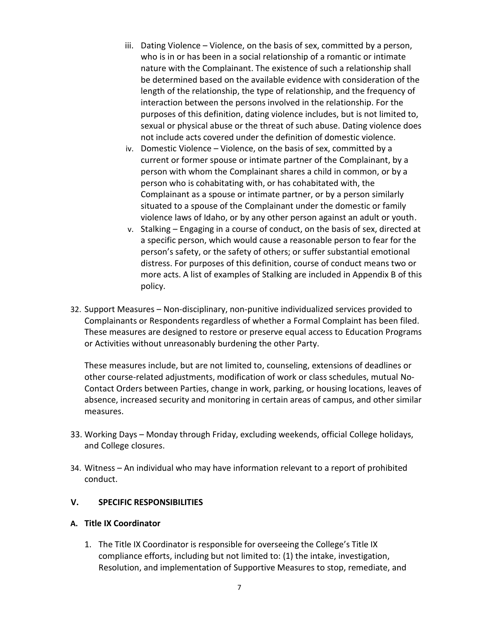- iii. Dating Violence Violence, on the basis of sex, committed by a person, who is in or has been in a social relationship of a romantic or intimate nature with the Complainant. The existence of such a relationship shall be determined based on the available evidence with consideration of the length of the relationship, the type of relationship, and the frequency of interaction between the persons involved in the relationship. For the purposes of this definition, dating violence includes, but is not limited to, sexual or physical abuse or the threat of such abuse. Dating violence does not include acts covered under the definition of domestic violence.
- iv. Domestic Violence Violence, on the basis of sex, committed by a current or former spouse or intimate partner of the Complainant, by a person with whom the Complainant shares a child in common, or by a person who is cohabitating with, or has cohabitated with, the Complainant as a spouse or intimate partner, or by a person similarly situated to a spouse of the Complainant under the domestic or family violence laws of Idaho, or by any other person against an adult or youth.
- v. Stalking Engaging in a course of conduct, on the basis of sex, directed at a specific person, which would cause a reasonable person to fear for the person's safety, or the safety of others; or suffer substantial emotional distress. For purposes of this definition, course of conduct means two or more acts. A list of examples of Stalking are included in Appendix B of this policy.
- 32. Support Measures Non-disciplinary, non-punitive individualized services provided to Complainants or Respondents regardless of whether a Formal Complaint has been filed. These measures are designed to restore or preserve equal access to Education Programs or Activities without unreasonably burdening the other Party.

These measures include, but are not limited to, counseling, extensions of deadlines or other course-related adjustments, modification of work or class schedules, mutual No-Contact Orders between Parties, change in work, parking, or housing locations, leaves of absence, increased security and monitoring in certain areas of campus, and other similar measures.

- 33. Working Days Monday through Friday, excluding weekends, official College holidays, and College closures.
- 34. Witness An individual who may have information relevant to a report of prohibited conduct.

#### <span id="page-8-0"></span>**V. SPECIFIC RESPONSIBILITIES**

#### **A. Title IX Coordinator**

1. The Title IX Coordinator is responsible for overseeing the College's Title IX compliance efforts, including but not limited to: (1) the intake, investigation, Resolution, and implementation of Supportive Measures to stop, remediate, and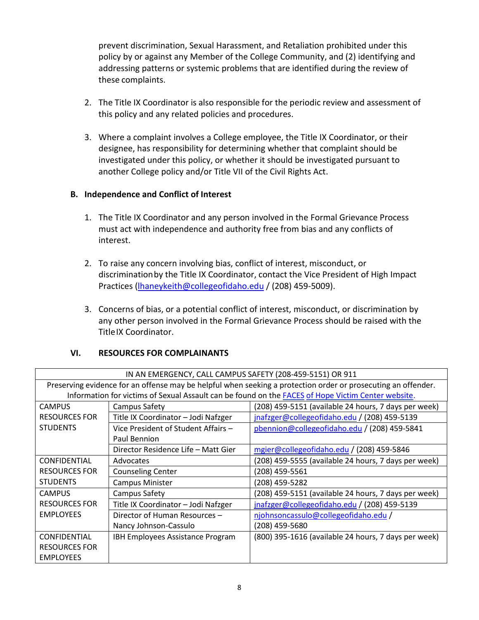prevent discrimination, Sexual Harassment, and Retaliation prohibited under this policy by or against any Member of the College Community, and (2) identifying and addressing patterns or systemic problems that are identified during the review of these complaints.

- 2. The Title IX Coordinator is also responsible for the periodic review and assessment of this policy and any related policies and procedures.
- 3. Where a complaint involves a College employee, the Title IX Coordinator, or their designee, has responsibility for determining whether that complaint should be investigated under this policy, or whether it should be investigated pursuant to another College policy and/or Title VII of the Civil Rights Act.

#### **B. Independence and Conflict of Interest**

- 1. The Title IX Coordinator and any person involved in the Formal Grievance Process must act with independence and authority free from bias and any conflicts of interest.
- 2. To raise any concern involving bias, conflict of interest, misconduct, or discriminationby the Title IX Coordinator, contact the Vice President of High Impact Practices [\(lhaneykeith@collegeofidaho.edu](mailto:lhaneykeith@collegeofidaho.edu) / (208) 459-5009).
- 3. Concerns of bias, or a potential conflict of interest, misconduct, or discrimination by any other person involved in the Formal Grievance Process should be raised with the TitleIX Coordinator.

#### <span id="page-9-0"></span>**VI. RESOURCES FOR COMPLAINANTS**

| IN AN EMERGENCY, CALL CAMPUS SAFETY (208-459-5151) OR 911                                                     |                                     |                                                      |  |  |  |  |
|---------------------------------------------------------------------------------------------------------------|-------------------------------------|------------------------------------------------------|--|--|--|--|
| Preserving evidence for an offense may be helpful when seeking a protection order or prosecuting an offender. |                                     |                                                      |  |  |  |  |
| Information for victims of Sexual Assault can be found on the <b>FACES</b> of Hope Victim Center website.     |                                     |                                                      |  |  |  |  |
| <b>CAMPUS</b>                                                                                                 | Campus Safety                       | (208) 459-5151 (available 24 hours, 7 days per week) |  |  |  |  |
| <b>RESOURCES FOR</b>                                                                                          | Title IX Coordinator - Jodi Nafzger | jnafzger@collegeofidaho.edu / (208) 459-5139         |  |  |  |  |
| <b>STUDENTS</b>                                                                                               | Vice President of Student Affairs - | pbennion@collegeofidaho.edu / (208) 459-5841         |  |  |  |  |
|                                                                                                               | Paul Bennion                        |                                                      |  |  |  |  |
|                                                                                                               | Director Residence Life – Matt Gier | mgier@collegeofidaho.edu / (208) 459-5846            |  |  |  |  |
| <b>CONFIDENTIAL</b>                                                                                           | Advocates                           | (208) 459-5555 (available 24 hours, 7 days per week) |  |  |  |  |
| <b>RESOURCES FOR</b>                                                                                          | <b>Counseling Center</b>            | (208) 459-5561                                       |  |  |  |  |
| <b>STUDENTS</b>                                                                                               | <b>Campus Minister</b>              | (208) 459-5282                                       |  |  |  |  |
| <b>CAMPUS</b>                                                                                                 | Campus Safety                       | (208) 459-5151 (available 24 hours, 7 days per week) |  |  |  |  |
| <b>RESOURCES FOR</b>                                                                                          | Title IX Coordinator - Jodi Nafzger | jnafzger@collegeofidaho.edu / (208) 459-5139         |  |  |  |  |
| <b>EMPLOYEES</b>                                                                                              | Director of Human Resources -       | njohnsoncassulo@collegeofidaho.edu /                 |  |  |  |  |
|                                                                                                               | Nancy Johnson-Cassulo               | (208) 459-5680                                       |  |  |  |  |
| <b>CONFIDENTIAL</b>                                                                                           | IBH Employees Assistance Program    | (800) 395-1616 (available 24 hours, 7 days per week) |  |  |  |  |
| <b>RESOURCES FOR</b>                                                                                          |                                     |                                                      |  |  |  |  |
| <b>EMPLOYEES</b>                                                                                              |                                     |                                                      |  |  |  |  |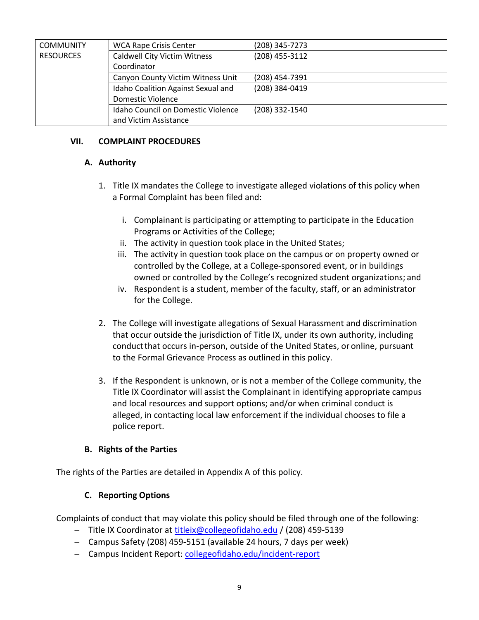| <b>COMMUNITY</b> | <b>WCA Rape Crisis Center</b>       | (208) 345-7273 |
|------------------|-------------------------------------|----------------|
| <b>RESOURCES</b> | <b>Caldwell City Victim Witness</b> | (208) 455-3112 |
|                  | Coordinator                         |                |
|                  | Canyon County Victim Witness Unit   | (208) 454-7391 |
|                  | Idaho Coalition Against Sexual and  | (208) 384-0419 |
|                  | Domestic Violence                   |                |
|                  | Idaho Council on Domestic Violence  | (208) 332-1540 |
|                  | and Victim Assistance               |                |

#### <span id="page-10-1"></span><span id="page-10-0"></span>**VII. COMPLAINT PROCEDURES**

#### **A. Authority**

- 1. Title IX mandates the College to investigate alleged violations of this policy when a Formal Complaint has been filed and:
	- i. Complainant is participating or attempting to participate in the Education Programs or Activities of the College;
	- ii. The activity in question took place in the United States;
	- iii. The activity in question took place on the campus or on property owned or controlled by the College, at a College-sponsored event, or in buildings owned or controlled by the College's recognized student organizations; and
	- iv. Respondent is a student, member of the faculty, staff, or an administrator for the College.
- 2. The College will investigate allegations of Sexual Harassment and discrimination that occur outside the jurisdiction of Title IX, under its own authority, including conductthat occurs in-person, outside of the United States, or online, pursuant to the Formal Grievance Process as outlined in this policy.
- 3. If the Respondent is unknown, or is not a member of the College community, the Title IX Coordinator will assist the Complainant in identifying appropriate campus and local resources and support options; and/or when criminal conduct is alleged, in contacting local law enforcement if the individual chooses to file a police report.

#### **B. Rights of the Parties**

<span id="page-10-3"></span><span id="page-10-2"></span>The rights of the Parties are detailed in Appendix A of this policy.

#### **C. Reporting Options**

Complaints of conduct that may violate this policy should be filed through one of the following:

- − Title IX Coordinator at [titleix@collegeofidaho.edu](mailto:titleix@collegeofidaho.edu) / (208) 459-5139
- − Campus Safety (208) 459-5151 (available 24 hours, 7 days per week)
- − Campus Incident Report: [collegeofidaho.edu/incident-report](https://www.collegeofidaho.edu/incident-report)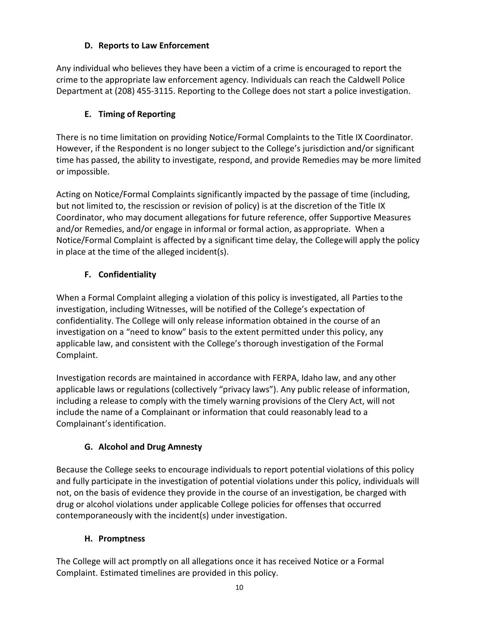### **D. Reports to Law Enforcement**

<span id="page-11-0"></span>Any individual who believes they have been a victim of a crime is encouraged to report the crime to the appropriate law enforcement agency. Individuals can reach the Caldwell Police Department a[t \(208\) 455-3115.](https://www.google.com/search?q=caldwell+police+department&rlz=1C1GCEB_enUS956US956&oq=caldwell+police+&aqs=chrome.0.0i355j46i175i199j0l8.2519j0j4&sourceid=chrome&ie=UTF-8) Reporting to the College does not start a police investigation.

### **E. Timing of Reporting**

<span id="page-11-1"></span>There is no time limitation on providing Notice/Formal Complaints to the Title IX Coordinator. However, if the Respondent is no longer subject to the College's jurisdiction and/or significant time has passed, the ability to investigate, respond, and provide Remedies may be more limited or impossible.

Acting on Notice/Formal Complaints significantly impacted by the passage of time (including, but not limited to, the rescission or revision of policy) is at the discretion of the Title IX Coordinator, who may document allegations for future reference, offer Supportive Measures and/or Remedies, and/or engage in informal or formal action, as appropriate. When a Notice/Formal Complaint is affected by a significant time delay, the Collegewill apply the policy in place at the time of the alleged incident(s).

### **F. Confidentiality**

<span id="page-11-2"></span>When a Formal Complaint alleging a violation of this policy is investigated, all Parties to the investigation, including Witnesses, will be notified of the College's expectation of confidentiality. The College will only release information obtained in the course of an investigation on a "need to know" basis to the extent permitted under this policy, any applicable law, and consistent with the College's thorough investigation of the Formal Complaint.

Investigation records are maintained in accordance with FERPA, Idaho law, and any other applicable laws or regulations (collectively "privacy laws"). Any public release of information, including a release to comply with the timely warning provisions of the Clery Act, will not include the name of a Complainant or information that could reasonably lead to a Complainant's identification.

# **G. Alcohol and Drug Amnesty**

<span id="page-11-3"></span>Because the College seeks to encourage individuals to report potential violations of this policy and fully participate in the investigation of potential violations under this policy, individuals will not, on the basis of evidence they provide in the course of an investigation, be charged with drug or alcohol violations under applicable College policies for offenses that occurred contemporaneously with the incident(s) under investigation.

# **H. Promptness**

<span id="page-11-4"></span>The College will act promptly on all allegations once it has received Notice or a Formal Complaint. Estimated timelines are provided in this policy.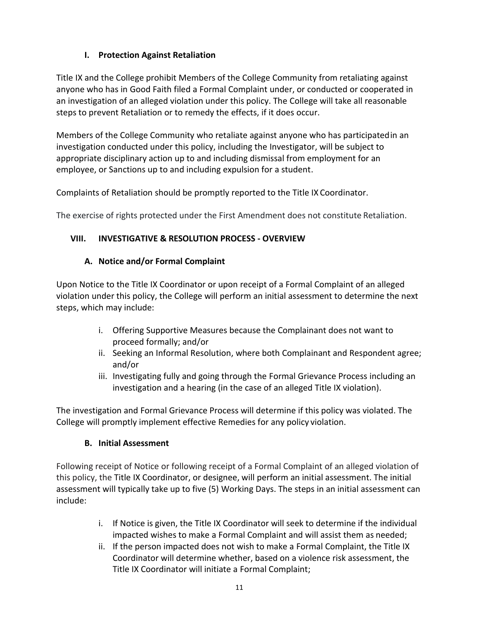### **I. Protection Against Retaliation**

<span id="page-12-0"></span>Title IX and the College prohibit Members of the College Community from retaliating against anyone who has in Good Faith filed a Formal Complaint under, or conducted or cooperated in an investigation of an alleged violation under this policy. The College will take all reasonable steps to prevent Retaliation or to remedy the effects, if it does occur.

Members of the College Community who retaliate against anyone who has participatedin an investigation conducted under this policy, including the Investigator, will be subject to appropriate disciplinary action up to and including dismissal from employment for an employee, or Sanctions up to and including expulsion for a student.

Complaints of Retaliation should be promptly reported to the Title IX Coordinator.

The exercise of rights protected under the First Amendment does not constitute Retaliation.

# <span id="page-12-1"></span>**VIII. INVESTIGATIVE & RESOLUTION PROCESS - OVERVIEW**

### **A. Notice and/or Formal Complaint**

<span id="page-12-2"></span>Upon Notice to the Title IX Coordinator or upon receipt of a Formal Complaint of an alleged violation under this policy, the College will perform an initial assessment to determine the next steps, which may include:

- i. Offering Supportive Measures because the Complainant does not want to proceed formally; and/or
- ii. Seeking an Informal Resolution, where both Complainant and Respondent agree; and/or
- iii. Investigating fully and going through the Formal Grievance Process including an investigation and a hearing (in the case of an alleged Title IX violation).

The investigation and Formal Grievance Process will determine if this policy was violated. The College will promptly implement effective Remedies for any policy violation.

# **B. Initial Assessment**

<span id="page-12-3"></span>Following receipt of Notice or following receipt of a Formal Complaint of an alleged violation of this policy, the Title IX Coordinator, or designee, will perform an initial assessment. The initial assessment will typically take up to five (5) Working Days. The steps in an initial assessment can include:

- i. If Notice is given, the Title IX Coordinator will seek to determine if the individual impacted wishes to make a Formal Complaint and will assist them as needed;
- ii. If the person impacted does not wish to make a Formal Complaint, the Title IX Coordinator will determine whether, based on a violence risk assessment, the Title IX Coordinator will initiate a Formal Complaint;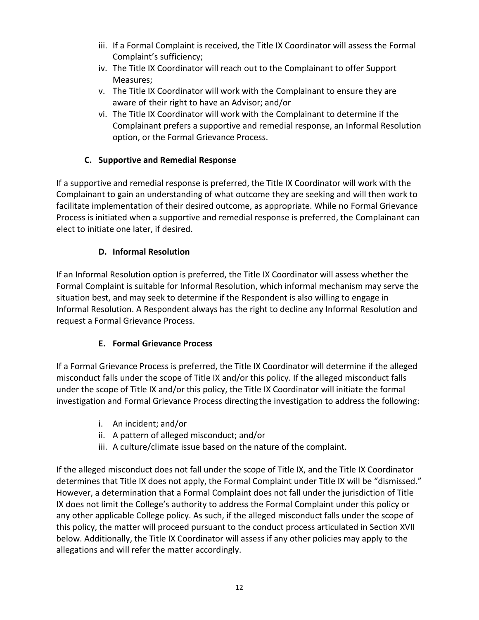- iii. If a Formal Complaint is received, the Title IX Coordinator will assess the Formal Complaint's sufficiency;
- iv. The Title IX Coordinator will reach out to the Complainant to offer Support Measures;
- v. The Title IX Coordinator will work with the Complainant to ensure they are aware of their right to have an Advisor; and/or
- vi. The Title IX Coordinator will work with the Complainant to determine if the Complainant prefers a supportive and remedial response, an Informal Resolution option, or the Formal Grievance Process.

### **C. Supportive and Remedial Response**

<span id="page-13-0"></span>If a supportive and remedial response is preferred, the Title IX Coordinator will work with the Complainant to gain an understanding of what outcome they are seeking and will then work to facilitate implementation of their desired outcome, as appropriate. While no Formal Grievance Process is initiated when a supportive and remedial response is preferred, the Complainant can elect to initiate one later, if desired.

### **D. Informal Resolution**

<span id="page-13-1"></span>If an Informal Resolution option is preferred, the Title IX Coordinator will assess whether the Formal Complaint is suitable for Informal Resolution, which informal mechanism may serve the situation best, and may seek to determine if the Respondent is also willing to engage in Informal Resolution. A Respondent always has the right to decline any Informal Resolution and request a Formal Grievance Process.

### **E. Formal Grievance Process**

<span id="page-13-2"></span>If a Formal Grievance Process is preferred, the Title IX Coordinator will determine if the alleged misconduct falls under the scope of Title IX and/or this policy. If the alleged misconduct falls under the scope of Title IX and/or this policy, the Title IX Coordinator will initiate the formal investigation and Formal Grievance Process directingthe investigation to address the following:

- i. An incident; and/or
- ii. A pattern of alleged misconduct; and/or
- iii. A culture/climate issue based on the nature of the complaint.

<span id="page-13-3"></span>If the alleged misconduct does not fall under the scope of Title IX, and the Title IX Coordinator determines that Title IX does not apply, the Formal Complaint under Title IX will be "dismissed." However, a determination that a Formal Complaint does not fall under the jurisdiction of Title IX does not limit the College's authority to address the Formal Complaint under this policy or any other applicable College policy. As such, if the alleged misconduct falls under the scope of this policy, the matter will proceed pursuant to the conduct process articulated in Section XVII below. Additionally, the Title IX Coordinator will assess if any other policies may apply to the allegations and will refer the matter accordingly.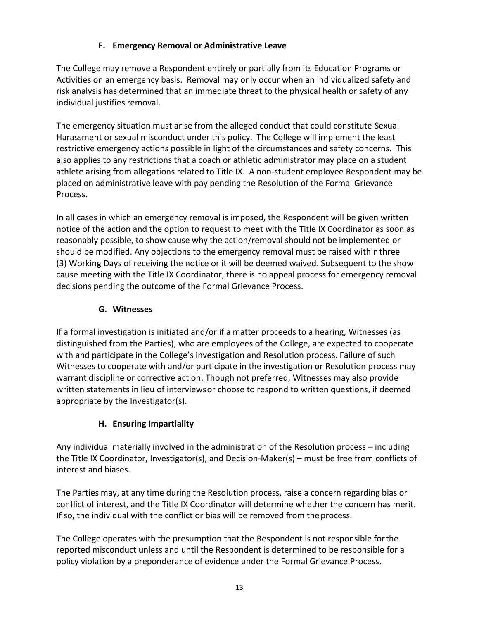### **F. Emergency Removal or Administrative Leave**

The College may remove a Respondent entirely or partially from its Education Programs or Activities on an emergency basis. Removal may only occur when an individualized safety and risk analysis has determined that an immediate threat to the physical health or safety of any individual justifies removal.

The emergency situation must arise from the alleged conduct that could constitute Sexual Harassment or sexual misconduct under this policy. The College will implement the least restrictive emergency actions possible in light of the circumstances and safety concerns. This also applies to any restrictions that a coach or athletic administrator may place on a student athlete arising from allegations related to Title IX. A non-student employee Respondent may be placed on administrative leave with pay pending the Resolution of the Formal Grievance Process.

In all cases in which an emergency removal is imposed, the Respondent will be given written notice of the action and the option to request to meet with the Title IX Coordinator as soon as reasonably possible, to show cause why the action/removal should not be implemented or should be modified. Any objections to the emergency removal must be raised within three (3) Working Days of receiving the notice or it will be deemed waived. Subsequent to the show cause meeting with the Title IX Coordinator, there is no appeal process for emergency removal decisions pending the outcome of the Formal Grievance Process.

### **G. Witnesses**

<span id="page-14-0"></span>If a formal investigation is initiated and/or if a matter proceeds to a hearing, Witnesses (as distinguished from the Parties), who are employees of the College, are expected to cooperate with and participate in the College's investigation and Resolution process. Failure of such Witnesses to cooperate with and/or participate in the investigation or Resolution process may warrant discipline or corrective action. Though not preferred, Witnesses may also provide written statements in lieu of interviewsor choose to respond to written questions, if deemed appropriate by the Investigator(s).

### **H. Ensuring Impartiality**

<span id="page-14-1"></span>Any individual materially involved in the administration of the Resolution process – including the Title IX Coordinator, Investigator(s), and Decision-Maker(s) – must be free from conflicts of interest and biases.

The Parties may, at any time during the Resolution process, raise a concern regarding bias or conflict of interest, and the Title IX Coordinator will determine whether the concern has merit. If so, the individual with the conflict or bias will be removed from the process.

The College operates with the presumption that the Respondent is not responsible forthe reported misconduct unless and until the Respondent is determined to be responsible for a policy violation by a preponderance of evidence under the Formal Grievance Process.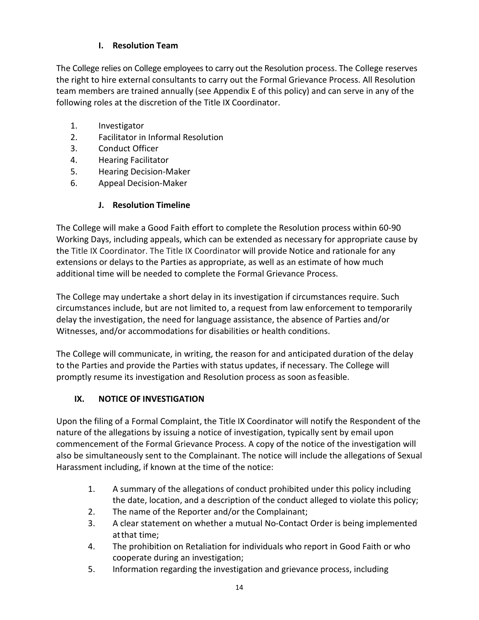### **I. Resolution Team**

<span id="page-15-0"></span>The College relies on College employees to carry out the Resolution process. The College reserves the right to hire external consultants to carry out the Formal Grievance Process. All Resolution team members are trained annually (see Appendix E of this policy) and can serve in any of the following roles at the discretion of the Title IX Coordinator.

- 1. Investigator
- 2. Facilitator in Informal Resolution
- 3. Conduct Officer
- 4. Hearing Facilitator
- 5. Hearing Decision-Maker
- 6. Appeal Decision-Maker

#### **J. Resolution Timeline**

<span id="page-15-1"></span>The College will make a Good Faith effort to complete the Resolution process within 60-90 Working Days, including appeals, which can be extended as necessary for appropriate cause by the Title IX Coordinator. The Title IX Coordinator will provide Notice and rationale for any extensions or delays to the Parties as appropriate, as well as an estimate of how much additional time will be needed to complete the Formal Grievance Process.

The College may undertake a short delay in its investigation if circumstances require. Such circumstances include, but are not limited to, a request from law enforcement to temporarily delay the investigation, the need for language assistance, the absence of Parties and/or Witnesses, and/or accommodations for disabilities or health conditions.

The College will communicate, in writing, the reason for and anticipated duration of the delay to the Parties and provide the Parties with status updates, if necessary. The College will promptly resume its investigation and Resolution process as soon asfeasible.

#### <span id="page-15-2"></span>**IX. NOTICE OF INVESTIGATION**

Upon the filing of a Formal Complaint, the Title IX Coordinator will notify the Respondent of the nature of the allegations by issuing a notice of investigation, typically sent by email upon commencement of the Formal Grievance Process. A copy of the notice of the investigation will also be simultaneously sent to the Complainant. The notice will include the allegations of Sexual Harassment including, if known at the time of the notice:

- 1. A summary of the allegations of conduct prohibited under this policy including the date, location, and a description of the conduct alleged to violate this policy;
- 2. The name of the Reporter and/or the Complainant;
- 3. A clear statement on whether a mutual No-Contact Order is being implemented atthat time;
- 4. The prohibition on Retaliation for individuals who report in Good Faith or who cooperate during an investigation;
- 5. Information regarding the investigation and grievance process, including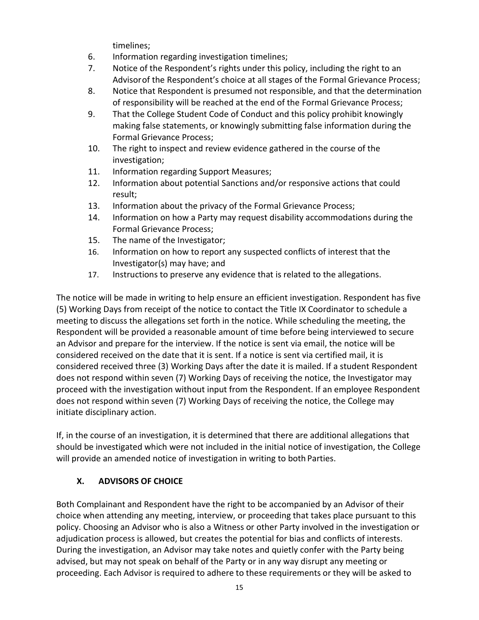timelines;

- 6. Information regarding investigation timelines;
- 7. Notice of the Respondent's rights under this policy, including the right to an Advisorof the Respondent's choice at all stages of the Formal Grievance Process;
- 8. Notice that Respondent is presumed not responsible, and that the determination of responsibility will be reached at the end of the Formal Grievance Process;
- 9. That the College Student Code of Conduct and this policy prohibit knowingly making false statements, or knowingly submitting false information during the Formal Grievance Process;
- 10. The right to inspect and review evidence gathered in the course of the investigation;
- 11. Information regarding Support Measures;
- 12. Information about potential Sanctions and/or responsive actions that could result;
- 13. Information about the privacy of the Formal Grievance Process;
- 14. Information on how a Party may request disability accommodations during the Formal Grievance Process;
- 15. The name of the Investigator;
- 16. Information on how to report any suspected conflicts of interest that the Investigator(s) may have; and
- 17. Instructions to preserve any evidence that is related to the allegations.

The notice will be made in writing to help ensure an efficient investigation. Respondent has five (5) Working Days from receipt of the notice to contact the Title IX Coordinator to schedule a meeting to discuss the allegations set forth in the notice. While scheduling the meeting, the Respondent will be provided a reasonable amount of time before being interviewed to secure an Advisor and prepare for the interview. If the notice is sent via email, the notice will be considered received on the date that it is sent. If a notice is sent via certified mail, it is considered received three (3) Working Days after the date it is mailed. If a student Respondent does not respond within seven (7) Working Days of receiving the notice, the Investigator may proceed with the investigation without input from the Respondent. If an employee Respondent does not respond within seven (7) Working Days of receiving the notice, the College may initiate disciplinary action.

If, in the course of an investigation, it is determined that there are additional allegations that should be investigated which were not included in the initial notice of investigation, the College will provide an amended notice of investigation in writing to both Parties.

### <span id="page-16-0"></span>**X. ADVISORS OF CHOICE**

Both Complainant and Respondent have the right to be accompanied by an Advisor of their choice when attending any meeting, interview, or proceeding that takes place pursuant to this policy. Choosing an Advisor who is also a Witness or other Party involved in the investigation or adjudication process is allowed, but creates the potential for bias and conflicts of interests. During the investigation, an Advisor may take notes and quietly confer with the Party being advised, but may not speak on behalf of the Party or in any way disrupt any meeting or proceeding. Each Advisor is required to adhere to these requirements or they will be asked to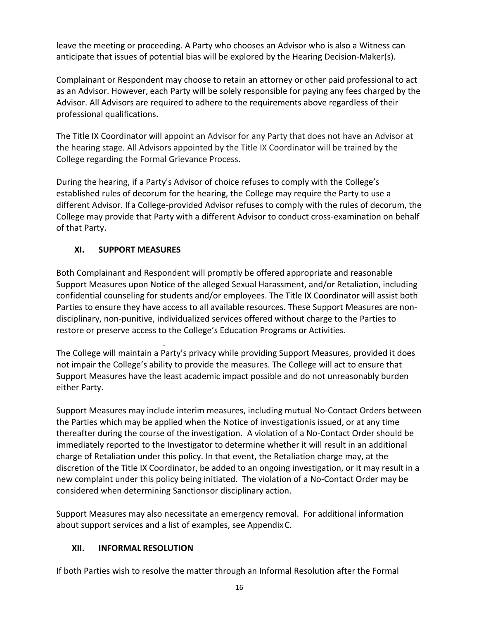leave the meeting or proceeding. A Party who chooses an Advisor who is also a Witness can anticipate that issues of potential bias will be explored by the Hearing Decision-Maker(s).

Complainant or Respondent may choose to retain an attorney or other paid professional to act as an Advisor. However, each Party will be solely responsible for paying any fees charged by the Advisor. All Advisors are required to adhere to the requirements above regardless of their professional qualifications.

The Title IX Coordinator will appoint an Advisor for any Party that does not have an Advisor at the hearing stage. All Advisors appointed by the Title IX Coordinator will be trained by the College regarding the Formal Grievance Process.

During the hearing, if a Party's Advisor of choice refuses to comply with the College's established rules of decorum for the hearing, the College may require the Party to use a different Advisor. Ifa College-provided Advisor refuses to comply with the rules of decorum, the College may provide that Party with a different Advisor to conduct cross-examination on behalf of that Party.

### <span id="page-17-0"></span>**XI. SUPPORT MEASURES**

Both Complainant and Respondent will promptly be offered appropriate and reasonable Support Measures upon Notice of the alleged Sexual Harassment, and/or Retaliation, including confidential counseling for students and/or employees. The Title IX Coordinator will assist both Parties to ensure they have access to all available resources. These Support Measures are nondisciplinary, non-punitive, individualized services offered without charge to the Parties to restore or preserve access to the College's Education Programs or Activities.

The College will maintain a Party's privacy while providing Support Measures, provided it does not impair the College's ability to provide the measures. The College will act to ensure that Support Measures have the least academic impact possible and do not unreasonably burden either Party.

Support Measures may include interim measures, including mutual No-Contact Orders between the Parties which may be applied when the Notice of investigationis issued, or at any time thereafter during the course of the investigation. A violation of a No-Contact Order should be immediately reported to the Investigator to determine whether it will result in an additional charge of Retaliation under this policy. In that event, the Retaliation charge may, at the discretion of the Title IX Coordinator, be added to an ongoing investigation, or it may result in a new complaint under this policy being initiated. The violation of a No-Contact Order may be considered when determining Sanctionsor disciplinary action.

Support Measures may also necessitate an emergency removal. For additional information about support services and a list of examples, see AppendixC.

### <span id="page-17-1"></span>**XII. INFORMAL RESOLUTION**

If both Parties wish to resolve the matter through an Informal Resolution after the Formal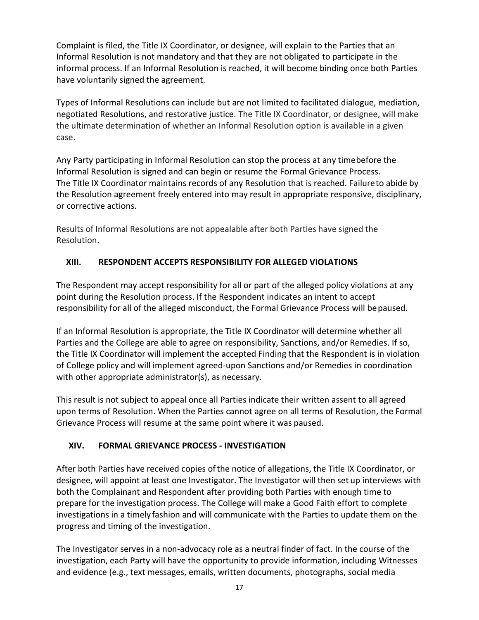Complaint is filed, the Title IX Coordinator, or designee, will explain to the Parties that an Informal Resolution is not mandatory and that they are not obligated to participate in the informal process. If an Informal Resolution is reached, it will become binding once both Parties have voluntarily signed the agreement.

Types of Informal Resolutions can include but are not limited to facilitated dialogue, mediation, negotiated Resolutions, and restorative justice. The Title IX Coordinator, or designee, will make the ultimate determination of whether an Informal Resolution option is available in a given case.

Any Party participating in Informal Resolution can stop the process at any timebefore the Informal Resolution is signed and can begin or resume the Formal Grievance Process. The Title IX Coordinator maintains records of any Resolution that is reached. Failureto abide by the Resolution agreement freely entered into may result in appropriate responsive, disciplinary, or corrective actions.

Results of Informal Resolutions are not appealable after both Parties have signed the Resolution.

### <span id="page-18-0"></span>**XIII. RESPONDENT ACCEPTS RESPONSIBILITY FOR ALLEGED VIOLATIONS**

The Respondent may accept responsibility for all or part of the alleged policy violations at any point during the Resolution process. If the Respondent indicates an intent to accept responsibility for all of the alleged misconduct, the Formal Grievance Process will bepaused.

If an Informal Resolution is appropriate, the Title IX Coordinator will determine whether all Parties and the College are able to agree on responsibility, Sanctions, and/or Remedies. If so, the Title IX Coordinator will implement the accepted Finding that the Respondent is in violation of College policy and will implement agreed-upon Sanctions and/or Remedies in coordination with other appropriate administrator(s), as necessary.

This result is not subject to appeal once all Parties indicate their written assent to all agreed upon terms of Resolution. When the Parties cannot agree on all terms of Resolution, the Formal Grievance Process will resume at the same point where it was paused.

### <span id="page-18-1"></span>**XIV. FORMAL GRIEVANCE PROCESS - INVESTIGATION**

After both Parties have received copies ofthe notice of allegations, the Title IX Coordinator, or designee, will appoint at least one Investigator. The Investigator will then set up interviews with both the Complainant and Respondent after providing both Parties with enough time to prepare for the investigation process. The College will make a Good Faith effort to complete investigations in a timely fashion and will communicate with the Parties to update them on the progress and timing of the investigation.

The Investigator serves in a non-advocacy role as a neutral finder of fact. In the course of the investigation, each Party will have the opportunity to provide information, including Witnesses and evidence (e.g., text messages, emails, written documents, photographs, social media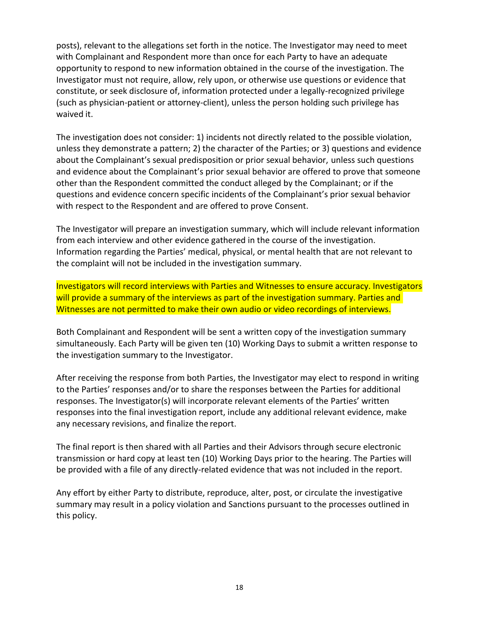posts), relevant to the allegations set forth in the notice. The Investigator may need to meet with Complainant and Respondent more than once for each Party to have an adequate opportunity to respond to new information obtained in the course of the investigation. The Investigator must not require, allow, rely upon, or otherwise use questions or evidence that constitute, or seek disclosure of, information protected under a legally-recognized privilege (such as physician-patient or attorney-client), unless the person holding such privilege has waived it.

The investigation does not consider: 1) incidents not directly related to the possible violation, unless they demonstrate a pattern; 2) the character of the Parties; or 3) questions and evidence about the Complainant's sexual predisposition or prior sexual behavior, unless such questions and evidence about the Complainant's prior sexual behavior are offered to prove that someone other than the Respondent committed the conduct alleged by the Complainant; or if the questions and evidence concern specific incidents of the Complainant's prior sexual behavior with respect to the Respondent and are offered to prove Consent.

The Investigator will prepare an investigation summary, which will include relevant information from each interview and other evidence gathered in the course of the investigation. Information regarding the Parties' medical, physical, or mental health that are not relevant to the complaint will not be included in the investigation summary.

Investigators will record interviews with Parties and Witnesses to ensure accuracy. Investigators will provide a summary of the interviews as part of the investigation summary. Parties and Witnesses are not permitted to make their own audio or video recordings of interviews.

Both Complainant and Respondent will be sent a written copy of the investigation summary simultaneously. Each Party will be given ten (10) Working Days to submit a written response to the investigation summary to the Investigator.

After receiving the response from both Parties, the Investigator may elect to respond in writing to the Parties' responses and/or to share the responses between the Parties for additional responses. The Investigator(s) will incorporate relevant elements of the Parties' written responses into the final investigation report, include any additional relevant evidence, make any necessary revisions, and finalize the report.

The final report is then shared with all Parties and their Advisors through secure electronic transmission or hard copy at least ten (10) Working Days prior to the hearing. The Parties will be provided with a file of any directly-related evidence that was not included in the report.

<span id="page-19-0"></span>Any effort by either Party to distribute, reproduce, alter, post, or circulate the investigative summary may result in a policy violation and Sanctions pursuant to the processes outlined in this policy.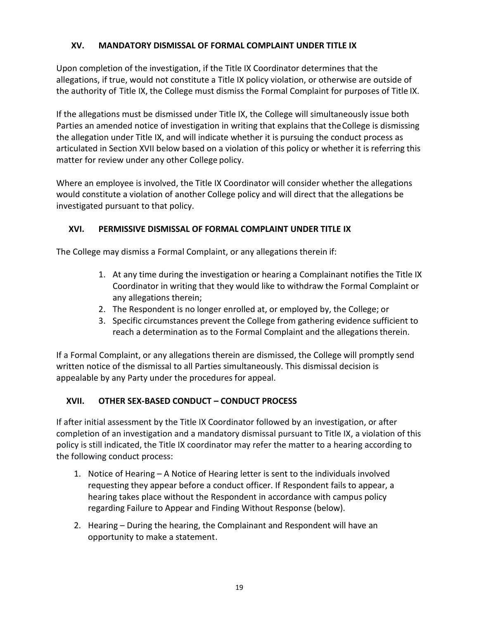### **XV. MANDATORY DISMISSAL OF FORMAL COMPLAINT UNDER TITLE IX**

Upon completion of the investigation, if the Title IX Coordinator determines that the allegations, if true, would not constitute a Title IX policy violation, or otherwise are outside of the authority of Title IX, the College must dismiss the Formal Complaint for purposes of Title IX.

If the allegations must be dismissed under Title IX, the College will simultaneously issue both Parties an amended notice of investigation in writing that explains that theCollege is dismissing the allegation under Title IX, and will indicate whether it is pursuing the conduct process as articulated in Section XVII below based on a violation of this policy or whether it is referring this matter for review under any other College policy.

Where an employee is involved, the Title IX Coordinator will consider whether the allegations would constitute a violation of another College policy and will direct that the allegations be investigated pursuant to that policy.

#### <span id="page-20-0"></span>**XVI. PERMISSIVE DISMISSAL OF FORMAL COMPLAINT UNDER TITLE IX**

The College may dismiss a Formal Complaint, or any allegations therein if:

- 1. At any time during the investigation or hearing a Complainant notifies the Title IX Coordinator in writing that they would like to withdraw the Formal Complaint or any allegations therein;
- 2. The Respondent is no longer enrolled at, or employed by, the College; or
- 3. Specific circumstances prevent the College from gathering evidence sufficient to reach a determination as to the Formal Complaint and the allegations therein.

If a Formal Complaint, or any allegations therein are dismissed, the College will promptly send written notice of the dismissal to all Parties simultaneously. This dismissal decision is appealable by any Party under the procedures for appeal.

#### <span id="page-20-1"></span>**XVII. OTHER SEX-BASED CONDUCT – CONDUCT PROCESS**

If after initial assessment by the Title IX Coordinator followed by an investigation, or after completion of an investigation and a mandatory dismissal pursuant to Title IX, a violation of this policy is still indicated, the Title IX coordinator may refer the matter to a hearing according to the following conduct process:

- 1. Notice of Hearing A Notice of Hearing letter is sent to the individuals involved requesting they appear before a conduct officer. If Respondent fails to appear, a hearing takes place without the Respondent in accordance with campus policy regarding Failure to Appear and Finding Without Response (below).
- 2. Hearing During the hearing, the Complainant and Respondent will have an opportunity to make a statement.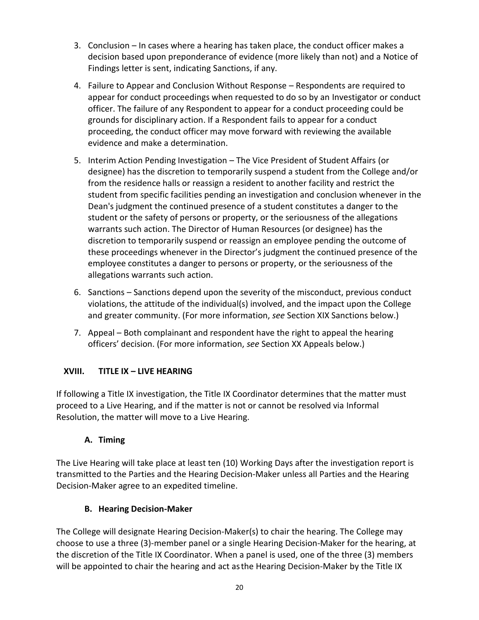- 3. Conclusion In cases where a hearing has taken place, the conduct officer makes a decision based upon preponderance of evidence (more likely than not) and a Notice of Findings letter is sent, indicating Sanctions, if any.
- 4. Failure to Appear and Conclusion Without Response Respondents are required to appear for conduct proceedings when requested to do so by an Investigator or conduct officer. The failure of any Respondent to appear for a conduct proceeding could be grounds for disciplinary action. If a Respondent fails to appear for a conduct proceeding, the conduct officer may move forward with reviewing the available evidence and make a determination.
- 5. Interim Action Pending Investigation The Vice President of Student Affairs (or designee) has the discretion to temporarily suspend a student from the College and/or from the residence halls or reassign a resident to another facility and restrict the student from specific facilities pending an investigation and conclusion whenever in the Dean's judgment the continued presence of a student constitutes a danger to the student or the safety of persons or property, or the seriousness of the allegations warrants such action. The Director of Human Resources (or designee) has the discretion to temporarily suspend or reassign an employee pending the outcome of these proceedings whenever in the Director's judgment the continued presence of the employee constitutes a danger to persons or property, or the seriousness of the allegations warrants such action.
- 6. Sanctions Sanctions depend upon the severity of the misconduct, previous conduct violations, the attitude of the individual(s) involved, and the impact upon the College and greater community. (For more information, *see* Section XIX Sanctions below.)
- 7. Appeal Both complainant and respondent have the right to appeal the hearing officers' decision. (For more information, *see* Section XX Appeals below.)

### <span id="page-21-0"></span>**XVIII. TITLE IX – LIVE HEARING**

If following a Title IX investigation, the Title IX Coordinator determines that the matter must proceed to a Live Hearing, and if the matter is not or cannot be resolved via Informal Resolution, the matter will move to a Live Hearing.

# **A. Timing**

<span id="page-21-1"></span>The Live Hearing will take place at least ten (10) Working Days after the investigation report is transmitted to the Parties and the Hearing Decision-Maker unless all Parties and the Hearing Decision-Maker agree to an expedited timeline.

# **B. Hearing Decision-Maker**

<span id="page-21-2"></span>The College will designate Hearing Decision-Maker(s) to chair the hearing. The College may choose to use a three (3)-member panel or a single Hearing Decision-Maker for the hearing, at the discretion of the Title IX Coordinator. When a panel is used, one of the three (3) members will be appointed to chair the hearing and act asthe Hearing Decision-Maker by the Title IX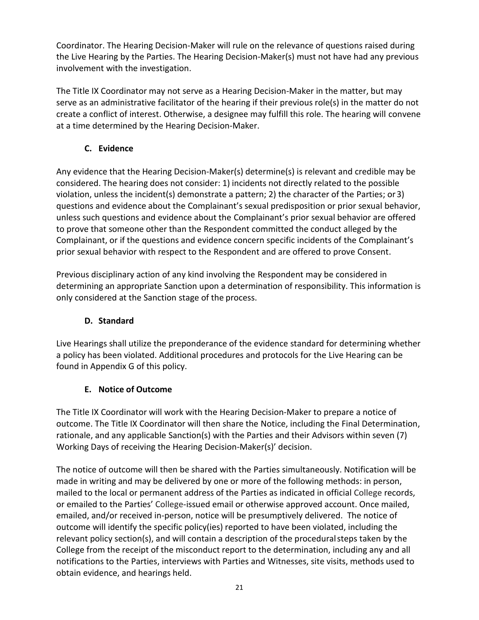Coordinator. The Hearing Decision-Maker will rule on the relevance of questions raised during the Live Hearing by the Parties. The Hearing Decision-Maker(s) must not have had any previous involvement with the investigation.

The Title IX Coordinator may not serve as a Hearing Decision-Maker in the matter, but may serve as an administrative facilitator of the hearing if their previous role(s) in the matter do not create a conflict of interest. Otherwise, a designee may fulfill this role. The hearing will convene at a time determined by the Hearing Decision-Maker.

### **C. Evidence**

<span id="page-22-0"></span>Any evidence that the Hearing Decision-Maker(s) determine(s) is relevant and credible may be considered. The hearing does not consider: 1) incidents not directly related to the possible violation, unless the incident(s) demonstrate a pattern; 2) the character of the Parties; or3) questions and evidence about the Complainant's sexual predisposition or prior sexual behavior, unless such questions and evidence about the Complainant's prior sexual behavior are offered to prove that someone other than the Respondent committed the conduct alleged by the Complainant, or if the questions and evidence concern specific incidents of the Complainant's prior sexual behavior with respect to the Respondent and are offered to prove Consent.

Previous disciplinary action of any kind involving the Respondent may be considered in determining an appropriate Sanction upon a determination of responsibility. This information is only considered at the Sanction stage of the process.

### **D. Standard**

<span id="page-22-1"></span>Live Hearings shall utilize the preponderance of the evidence standard for determining whether a policy has been violated. Additional procedures and protocols for the Live Hearing can be found in Appendix G of this policy.

# **E. Notice of Outcome**

<span id="page-22-2"></span>The Title IX Coordinator will work with the Hearing Decision-Maker to prepare a notice of outcome. The Title IX Coordinator will then share the Notice, including the Final Determination, rationale, and any applicable Sanction(s) with the Parties and their Advisors within seven (7) Working Days of receiving the Hearing Decision-Maker(s)' decision.

The notice of outcome will then be shared with the Parties simultaneously. Notification will be made in writing and may be delivered by one or more of the following methods: in person, mailed to the local or permanent address of the Parties as indicated in official College records, or emailed to the Parties' College-issued email or otherwise approved account. Once mailed, emailed, and/or received in-person, notice will be presumptively delivered. The notice of outcome will identify the specific policy(ies) reported to have been violated, including the relevant policy section(s), and will contain a description of the proceduralsteps taken by the College from the receipt of the misconduct report to the determination, including any and all notifications to the Parties, interviews with Parties and Witnesses, site visits, methods used to obtain evidence, and hearings held.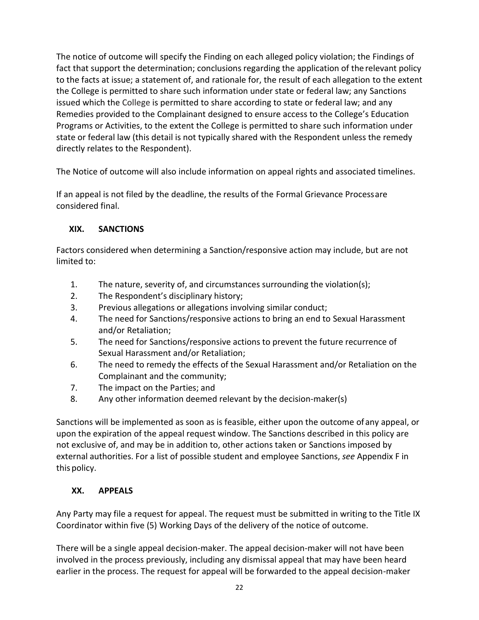The notice of outcome will specify the Finding on each alleged policy violation; the Findings of fact that support the determination; conclusions regarding the application of the relevant policy to the facts at issue; a statement of, and rationale for, the result of each allegation to the extent the College is permitted to share such information under state or federal law; any Sanctions issued which the College is permitted to share according to state or federal law; and any Remedies provided to the Complainant designed to ensure access to the College's Education Programs or Activities, to the extent the College is permitted to share such information under state or federal law (this detail is not typically shared with the Respondent unless the remedy directly relates to the Respondent).

The Notice of outcome will also include information on appeal rights and associated timelines.

If an appeal is not filed by the deadline, the results of the Formal Grievance Processare considered final.

#### <span id="page-23-0"></span>**XIX. SANCTIONS**

Factors considered when determining a Sanction/responsive action may include, but are not limited to:

- 1. The nature, severity of, and circumstances surrounding the violation(s);
- 2. The Respondent's disciplinary history;
- 3. Previous allegations or allegations involving similar conduct;
- 4. The need for Sanctions/responsive actions to bring an end to Sexual Harassment and/or Retaliation;
- 5. The need for Sanctions/responsive actions to prevent the future recurrence of Sexual Harassment and/or Retaliation;
- 6. The need to remedy the effects of the Sexual Harassment and/or Retaliation on the Complainant and the community;
- 7. The impact on the Parties; and
- 8. Any other information deemed relevant by the decision-maker(s)

Sanctions will be implemented as soon as is feasible, either upon the outcome of any appeal, or upon the expiration of the appeal request window. The Sanctions described in this policy are not exclusive of, and may be in addition to, other actions taken or Sanctions imposed by external authorities. For a list of possible student and employee Sanctions, *see* Appendix F in this policy.

### <span id="page-23-1"></span>**XX. APPEALS**

Any Party may file a request for appeal. The request must be submitted in writing to the Title IX Coordinator within five (5) Working Days of the delivery of the notice of outcome.

There will be a single appeal decision-maker. The appeal decision-maker will not have been involved in the process previously, including any dismissal appeal that may have been heard earlier in the process. The request for appeal will be forwarded to the appeal decision-maker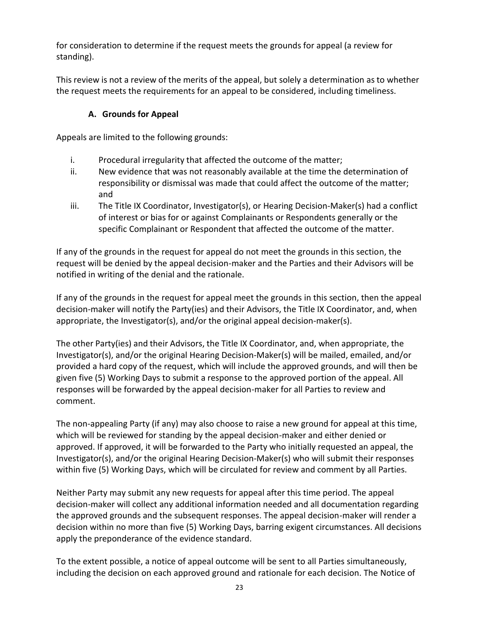for consideration to determine if the request meets the grounds for appeal (a review for standing).

<span id="page-24-0"></span>This review is not a review of the merits of the appeal, but solely a determination as to whether the request meets the requirements for an appeal to be considered, including timeliness.

#### **A. Grounds for Appeal**

Appeals are limited to the following grounds:

- i. Procedural irregularity that affected the outcome of the matter;
- ii. New evidence that was not reasonably available at the time the determination of responsibility or dismissal was made that could affect the outcome of the matter; and
- iii. The Title IX Coordinator, Investigator(s), or Hearing Decision-Maker(s) had a conflict of interest or bias for or against Complainants or Respondents generally or the specific Complainant or Respondent that affected the outcome of the matter.

If any of the grounds in the request for appeal do not meet the grounds in this section, the request will be denied by the appeal decision-maker and the Parties and their Advisors will be notified in writing of the denial and the rationale.

If any of the grounds in the request for appeal meet the grounds in this section, then the appeal decision-maker will notify the Party(ies) and their Advisors, the Title IX Coordinator, and, when appropriate, the Investigator(s), and/or the original appeal decision-maker(s).

The other Party(ies) and their Advisors, the Title IX Coordinator, and, when appropriate, the Investigator(s), and/or the original Hearing Decision-Maker(s) will be mailed, emailed, and/or provided a hard copy of the request, which will include the approved grounds, and will then be given five (5) Working Days to submit a response to the approved portion of the appeal. All responses will be forwarded by the appeal decision-maker for all Parties to review and comment.

The non-appealing Party (if any) may also choose to raise a new ground for appeal at this time, which will be reviewed for standing by the appeal decision-maker and either denied or approved. If approved, it will be forwarded to the Party who initially requested an appeal, the Investigator(s), and/or the original Hearing Decision-Maker(s) who will submit their responses within five (5) Working Days, which will be circulated for review and comment by all Parties.

Neither Party may submit any new requests for appeal after this time period. The appeal decision-maker will collect any additional information needed and all documentation regarding the approved grounds and the subsequent responses. The appeal decision-maker will render a decision within no more than five (5) Working Days, barring exigent circumstances. All decisions apply the preponderance of the evidence standard.

To the extent possible, a notice of appeal outcome will be sent to all Parties simultaneously, including the decision on each approved ground and rationale for each decision. The Notice of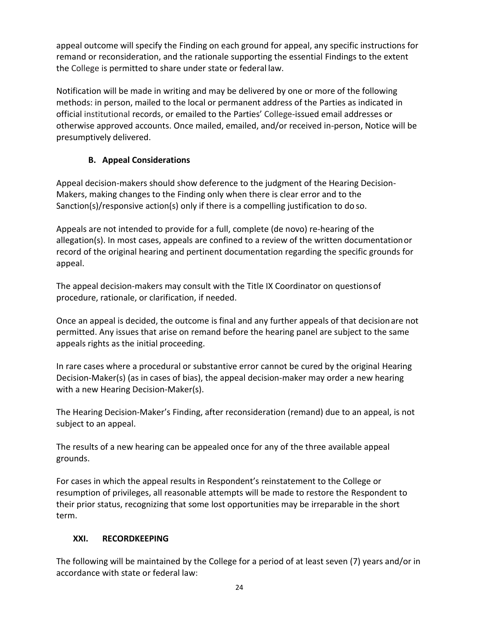appeal outcome will specify the Finding on each ground for appeal, any specific instructions for remand or reconsideration, and the rationale supporting the essential Findings to the extent the College is permitted to share under state or federal law.

Notification will be made in writing and may be delivered by one or more of the following methods: in person, mailed to the local or permanent address of the Parties as indicated in official institutional records, or emailed to the Parties' College-issued email addresses or otherwise approved accounts. Once mailed, emailed, and/or received in-person, Notice will be presumptively delivered.

### **B. Appeal Considerations**

<span id="page-25-0"></span>Appeal decision-makers should show deference to the judgment of the Hearing Decision-Makers, making changes to the Finding only when there is clear error and to the Sanction(s)/responsive action(s) only if there is a compelling justification to do so.

Appeals are not intended to provide for a full, complete (de novo) re-hearing of the allegation(s). In most cases, appeals are confined to a review of the written documentationor record of the original hearing and pertinent documentation regarding the specific grounds for appeal.

The appeal decision-makers may consult with the Title IX Coordinator on questionsof procedure, rationale, or clarification, if needed.

Once an appeal is decided, the outcome is final and any further appeals of that decisionare not permitted. Any issues that arise on remand before the hearing panel are subject to the same appeals rights as the initial proceeding.

In rare cases where a procedural or substantive error cannot be cured by the original Hearing Decision-Maker(s) (as in cases of bias), the appeal decision-maker may order a new hearing with a new Hearing Decision-Maker(s).

The Hearing Decision-Maker's Finding, after reconsideration (remand) due to an appeal, is not subject to an appeal.

The results of a new hearing can be appealed once for any of the three available appeal grounds.

For cases in which the appeal results in Respondent's reinstatement to the College or resumption of privileges, all reasonable attempts will be made to restore the Respondent to their prior status, recognizing that some lost opportunities may be irreparable in the short term.

# <span id="page-25-1"></span>**XXI. RECORDKEEPING**

The following will be maintained by the College for a period of at least seven (7) years and/or in accordance with state or federal law: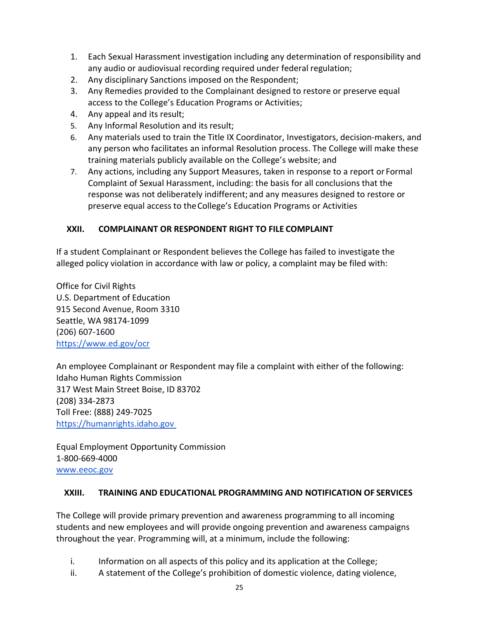- 1. Each Sexual Harassment investigation including any determination of responsibility and any audio or audiovisual recording required under federal regulation;
- 2. Any disciplinary Sanctions imposed on the Respondent;
- 3. Any Remedies provided to the Complainant designed to restore or preserve equal access to the College's Education Programs or Activities;
- 4. Any appeal and its result;
- 5. Any Informal Resolution and its result;
- 6. Any materials used to train the Title IX Coordinator, Investigators, decision-makers, and any person who facilitates an informal Resolution process. The College will make these training materials publicly available on the College's website; and
- 7. Any actions, including any Support Measures, taken in response to a report or Formal Complaint of Sexual Harassment, including: the basis for all conclusions that the response was not deliberately indifferent; and any measures designed to restore or preserve equal access to theCollege's Education Programs or Activities

#### <span id="page-26-0"></span>**XXII. COMPLAINANT OR RESPONDENT RIGHT TO FILE COMPLAINT**

If a student Complainant or Respondent believes the College has failed to investigate the alleged policy violation in accordance with law or policy, a complaint may be filed with:

Office for Civil Rights U.S. Department of Education 915 Second Avenue, Room 3310 Seattle, WA 98174-1099 (206) 607-1600 <https://www.ed.gov/ocr>

An employee Complainant or Respondent may file a complaint with either of the following: Idaho Human Rights Commission 317 West Main Street Boise, ID 83702 (208) 334-2873 Toll Free: (888) 249-7025 [https://humanrights.idaho.gov](https://humanrights.idaho.gov/) 

Equal Employment Opportunity Commission 1-800-669-4000 [www.eeoc.gov](http://www.eeoc.gov/)

#### <span id="page-26-1"></span>**XXIII. TRAINING AND EDUCATIONAL PROGRAMMING AND NOTIFICATION OF SERVICES**

The College will provide primary prevention and awareness programming to all incoming students and new employees and will provide ongoing prevention and awareness campaigns throughout the year. Programming will, at a minimum, include the following:

- i. Information on all aspects of this policy and its application at the College;
- ii. A statement of the College's prohibition of domestic violence, dating violence,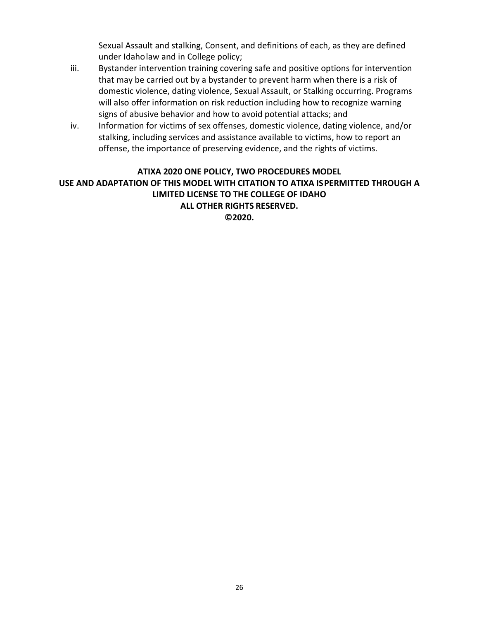Sexual Assault and stalking, Consent, and definitions of each, as they are defined under Idaholaw and in College policy;

- iii. Bystander intervention training covering safe and positive options for intervention that may be carried out by a bystander to prevent harm when there is a risk of domestic violence, dating violence, Sexual Assault, or Stalking occurring. Programs will also offer information on risk reduction including how to recognize warning signs of abusive behavior and how to avoid potential attacks; and
- iv. Information for victims of sex offenses, domestic violence, dating violence, and/or stalking, including services and assistance available to victims, how to report an offense, the importance of preserving evidence, and the rights of victims.

#### <span id="page-27-0"></span>**ATIXA 2020 ONE POLICY, TWO PROCEDURES MODEL USE AND ADAPTATION OF THIS MODEL WITH CITATION TO ATIXA ISPERMITTED THROUGH A LIMITED LICENSE TO THE COLLEGE OF IDAHO ALL OTHER RIGHTS RESERVED. ©2020.**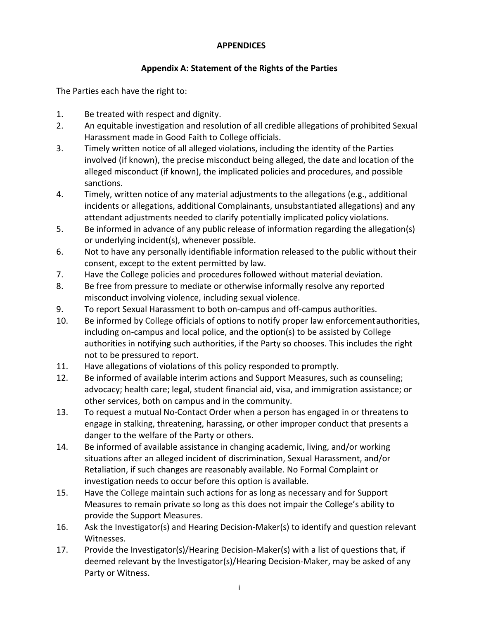#### **APPENDICES**

#### **Appendix A: Statement of the Rights of the Parties**

<span id="page-28-0"></span>The Parties each have the right to:

- 1. Be treated with respect and dignity.
- 2. An equitable investigation and resolution of all credible allegations of prohibited Sexual Harassment made in Good Faith to College officials.
- 3. Timely written notice of all alleged violations, including the identity of the Parties involved (if known), the precise misconduct being alleged, the date and location of the alleged misconduct (if known), the implicated policies and procedures, and possible sanctions.
- 4. Timely, written notice of any material adjustments to the allegations (e.g., additional incidents or allegations, additional Complainants, unsubstantiated allegations) and any attendant adjustments needed to clarify potentially implicated policy violations.
- 5. Be informed in advance of any public release of information regarding the allegation(s) or underlying incident(s), whenever possible.
- 6. Not to have any personally identifiable information released to the public without their consent, except to the extent permitted by law.
- 7. Have the College policies and procedures followed without material deviation.
- 8. Be free from pressure to mediate or otherwise informally resolve any reported misconduct involving violence, including sexual violence.
- 9. To report Sexual Harassment to both on-campus and off-campus authorities.
- 10. Be informed by College officials of options to notify proper law enforcementauthorities, including on-campus and local police, and the option(s) to be assisted by College authorities in notifying such authorities, if the Party so chooses. This includes the right not to be pressured to report.
- 11. Have allegations of violations of this policy responded to promptly.
- 12. Be informed of available interim actions and Support Measures, such as counseling; advocacy; health care; legal, student financial aid, visa, and immigration assistance; or other services, both on campus and in the community.
- 13. To request a mutual No-Contact Order when a person has engaged in or threatens to engage in stalking, threatening, harassing, or other improper conduct that presents a danger to the welfare of the Party or others.
- 14. Be informed of available assistance in changing academic, living, and/or working situations after an alleged incident of discrimination, Sexual Harassment, and/or Retaliation, if such changes are reasonably available. No Formal Complaint or investigation needs to occur before this option is available.
- 15. Have the College maintain such actions for as long as necessary and for Support Measures to remain private so long as this does not impair the College's ability to provide the Support Measures.
- 16. Ask the Investigator(s) and Hearing Decision-Maker(s) to identify and question relevant Witnesses.
- 17. Provide the Investigator(s)/Hearing Decision-Maker(s) with a list of questions that, if deemed relevant by the Investigator(s)/Hearing Decision-Maker, may be asked of any Party or Witness.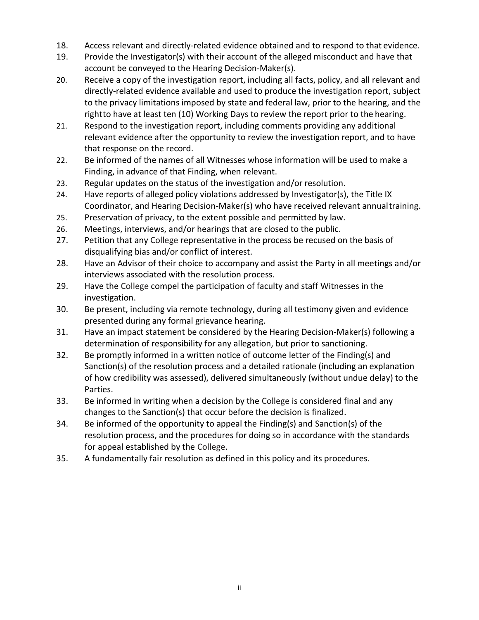- 18. Access relevant and directly-related evidence obtained and to respond to that evidence.
- 19. Provide the Investigator(s) with their account of the alleged misconduct and have that account be conveyed to the Hearing Decision-Maker(s).
- 20. Receive a copy of the investigation report, including all facts, policy, and all relevant and directly-related evidence available and used to produce the investigation report, subject to the privacy limitations imposed by state and federal law, prior to the hearing, and the rightto have at least ten (10) Working Days to review the report prior to the hearing.
- 21. Respond to the investigation report, including comments providing any additional relevant evidence after the opportunity to review the investigation report, and to have that response on the record.
- 22. Be informed of the names of all Witnesses whose information will be used to make a Finding, in advance of that Finding, when relevant.
- 23. Regular updates on the status of the investigation and/or resolution.
- 24. Have reports of alleged policy violations addressed by Investigator(s), the Title IX Coordinator, and Hearing Decision-Maker(s) who have received relevant annualtraining.
- 25. Preservation of privacy, to the extent possible and permitted by law.
- 26. Meetings, interviews, and/or hearings that are closed to the public.
- 27. Petition that any College representative in the process be recused on the basis of disqualifying bias and/or conflict of interest.
- 28. Have an Advisor of their choice to accompany and assist the Party in all meetings and/or interviews associated with the resolution process.
- 29. Have the College compel the participation of faculty and staff Witnesses in the investigation.
- 30. Be present, including via remote technology, during all testimony given and evidence presented during any formal grievance hearing.
- 31. Have an impact statement be considered by the Hearing Decision-Maker(s) following a determination of responsibility for any allegation, but prior to sanctioning.
- 32. Be promptly informed in a written notice of outcome letter of the Finding(s) and Sanction(s) of the resolution process and a detailed rationale (including an explanation of how credibility was assessed), delivered simultaneously (without undue delay) to the Parties.
- 33. Be informed in writing when a decision by the College is considered final and any changes to the Sanction(s) that occur before the decision is finalized.
- 34. Be informed of the opportunity to appeal the Finding(s) and Sanction(s) of the resolution process, and the procedures for doing so in accordance with the standards for appeal established by the College.
- <span id="page-29-0"></span>35. A fundamentally fair resolution as defined in this policy and its procedures.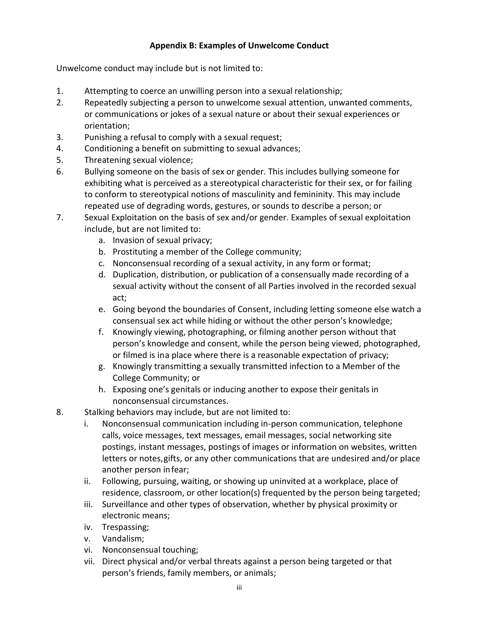#### **Appendix B: Examples of Unwelcome Conduct**

Unwelcome conduct may include but is not limited to:

- 1. Attempting to coerce an unwilling person into a sexual relationship;
- 2. Repeatedly subjecting a person to unwelcome sexual attention, unwanted comments, or communications or jokes of a sexual nature or about their sexual experiences or orientation;
- 3. Punishing a refusal to comply with a sexual request;
- 4. Conditioning a benefit on submitting to sexual advances;
- 5. Threatening sexual violence;
- 6. Bullying someone on the basis of sex or gender. This includes bullying someone for exhibiting what is perceived as a stereotypical characteristic for their sex, or for failing to conform to stereotypical notions of masculinity and femininity. This may include repeated use of degrading words, gestures, or sounds to describe a person; or
- 7. Sexual Exploitation on the basis of sex and/or gender. Examples of sexual exploitation include, but are not limited to:
	- a. Invasion of sexual privacy;
	- b. Prostituting a member of the College community;
	- c. Nonconsensual recording of a sexual activity, in any form or format;
	- d. Duplication, distribution, or publication of a consensually made recording of a sexual activity without the consent of all Parties involved in the recorded sexual act;
	- e. Going beyond the boundaries of Consent, including letting someone else watch a consensual sex act while hiding or without the other person's knowledge;
	- f. Knowingly viewing, photographing, or filming another person without that person's knowledge and consent, while the person being viewed, photographed, or filmed is ina place where there is a reasonable expectation of privacy;
	- g. Knowingly transmitting a sexually transmitted infection to a Member of the College Community; or
	- h. Exposing one's genitals or inducing another to expose their genitals in nonconsensual circumstances.
- 8. Stalking behaviors may include, but are not limited to:
	- i. Nonconsensual communication including in-person communication, telephone calls, voice messages, text messages, email messages, social networking site postings, instant messages, postings of images or information on websites, written letters or notes,gifts, or any other communications that are undesired and/or place another person infear;
	- ii. Following, pursuing, waiting, or showing up uninvited at a workplace, place of residence, classroom, or other location(s) frequented by the person being targeted;
	- iii. Surveillance and other types of observation, whether by physical proximity or electronic means;
	- iv. Trespassing;
	- v. Vandalism;
	- vi. Nonconsensual touching;
	- vii. Direct physical and/or verbal threats against a person being targeted or that person's friends, family members, or animals;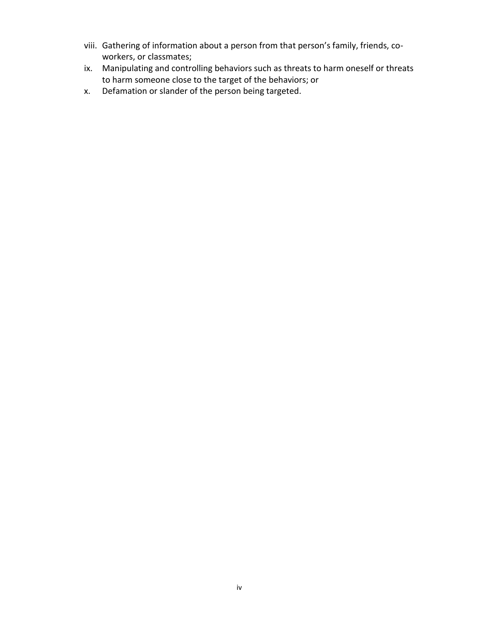- viii. Gathering of information about a person from that person's family, friends, coworkers, or classmates;
- ix. Manipulating and controlling behaviors such as threats to harm oneself or threats to harm someone close to the target of the behaviors; or
- x. Defamation or slander of the person being targeted.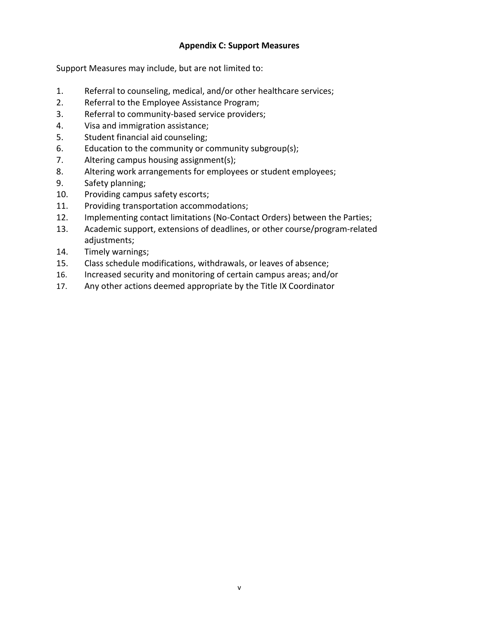#### **Appendix C: Support Measures**

<span id="page-32-0"></span>Support Measures may include, but are not limited to:

- 1. Referral to counseling, medical, and/or other healthcare services;
- 2. Referral to the Employee Assistance Program;
- 3. Referral to community-based service providers;
- 4. Visa and immigration assistance;
- 5. Student financial aid counseling;
- 6. Education to the community or community subgroup(s);
- 7. Altering campus housing assignment(s);
- 8. Altering work arrangements for employees or student employees;
- 9. Safety planning;
- 10. Providing campus safety escorts;
- 11. Providing transportation accommodations;
- 12. Implementing contact limitations (No-Contact Orders) between the Parties;
- 13. Academic support, extensions of deadlines, or other course/program-related adjustments;
- 14. Timely warnings;
- 15. Class schedule modifications, withdrawals, or leaves of absence;
- 16. Increased security and monitoring of certain campus areas; and/or
- 17. Any other actions deemed appropriate by the Title IX Coordinator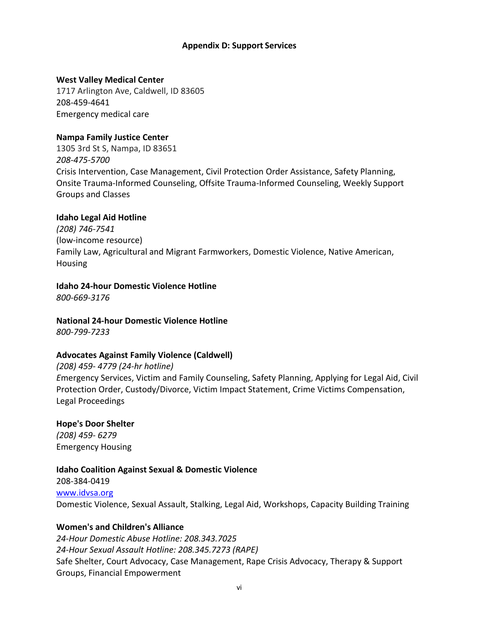#### **Appendix D: Support Services**

#### <span id="page-33-0"></span>**West Valley Medical Center**

1717 Arlington Ave, Caldwell, ID 83605 208-459-4641 Emergency medical care

#### **Nampa Family Justice Center**

1305 3rd St S, Nampa, ID 83651 *208-475-5700* Crisis Intervention, Case Management, Civil Protection Order Assistance, Safety Planning, Onsite Trauma-Informed Counseling, Offsite Trauma-Informed Counseling, Weekly Support Groups and Classes

#### **Idaho Legal Aid Hotline**

*(208) 746-7541* (low-income resource) Family Law, Agricultural and Migrant Farmworkers, Domestic Violence, Native American, Housing

# **Idaho 24-hour Domestic Violence Hotline**

*800-669-3176*

**National 24-hour Domestic Violence Hotline**

*800-799-7233*

#### **Advocates Against Family Violence (Caldwell)**

*(208) 459- 4779 (24-hr hotline) E*mergency Services, Victim and Family Counseling, Safety Planning, Applying for Legal Aid, Civil Protection Order, Custody/Divorce, Victim Impact Statement, Crime Victims Compensation, Legal Proceedings

**Hope's Door Shelter** *(208) 459- 6279* Emergency Housing

#### **Idaho Coalition Against Sexual & Domestic Violence**

208-384-0419 [www.idvsa.org](http://www.idvsa.org/) Domestic Violence, Sexual Assault, Stalking, Legal Aid, Workshops, Capacity Building Training

#### **Women's and Children's Alliance**

*24-Hour Domestic Abuse Hotline: 208.343.7025 24-Hour Sexual Assault Hotline: 208.345.7273 (RAPE)* Safe Shelter, Court Advocacy, Case Management, Rape Crisis Advocacy, Therapy & Support Groups, Financial Empowerment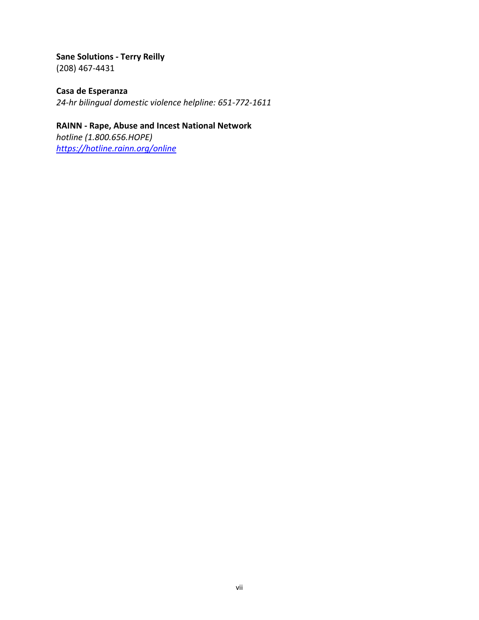**Sane Solutions - Terry Reilly** (208) 467-4431

**Casa de Esperanza** *24-hr bilingual domestic violence helpline: 651-772-1611*

**RAINN - Rape, Abuse and Incest National Network** *hotline (1.800.656.HOPE) <https://hotline.rainn.org/online>*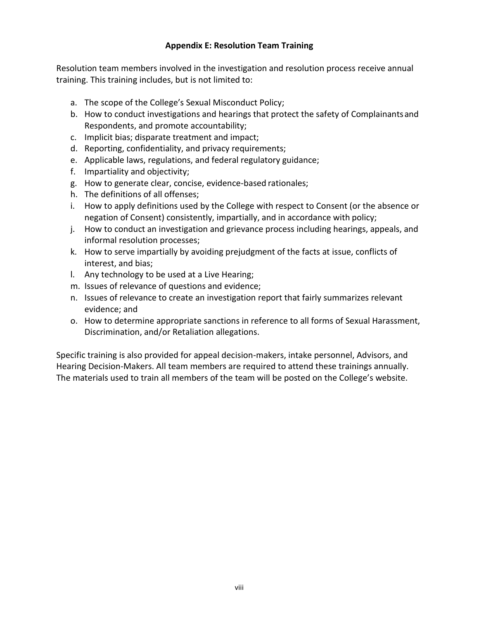#### **Appendix E: Resolution Team Training**

<span id="page-35-0"></span>Resolution team members involved in the investigation and resolution process receive annual training. This training includes, but is not limited to:

- a. The scope of the College's Sexual Misconduct Policy;
- b. How to conduct investigations and hearings that protect the safety of Complainantsand Respondents, and promote accountability;
- c. Implicit bias; disparate treatment and impact;
- d. Reporting, confidentiality, and privacy requirements;
- e. Applicable laws, regulations, and federal regulatory guidance;
- f. Impartiality and objectivity;
- g. How to generate clear, concise, evidence-based rationales;
- h. The definitions of all offenses;
- i. How to apply definitions used by the College with respect to Consent (or the absence or negation of Consent) consistently, impartially, and in accordance with policy;
- j. How to conduct an investigation and grievance process including hearings, appeals, and informal resolution processes;
- k. How to serve impartially by avoiding prejudgment of the facts at issue, conflicts of interest, and bias;
- l. Any technology to be used at a Live Hearing;
- m. Issues of relevance of questions and evidence;
- n. Issues of relevance to create an investigation report that fairly summarizes relevant evidence; and
- o. How to determine appropriate sanctions in reference to all forms of Sexual Harassment, Discrimination, and/or Retaliation allegations.

Specific training is also provided for appeal decision-makers, intake personnel, Advisors, and Hearing Decision-Makers. All team members are required to attend these trainings annually. The materials used to train all members of the team will be posted on the College's website.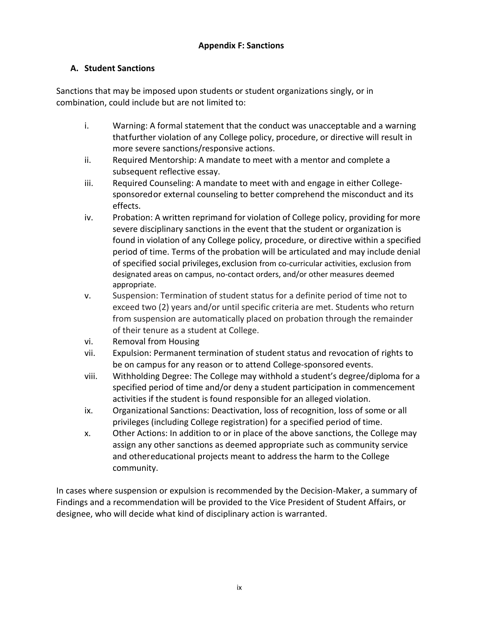#### <span id="page-36-0"></span>**A. Student Sanctions**

Sanctions that may be imposed upon students or student organizations singly, or in combination, could include but are not limited to:

- i. Warning: A formal statement that the conduct was unacceptable and a warning thatfurther violation of any College policy, procedure, or directive will result in more severe sanctions/responsive actions.
- ii. Required Mentorship: A mandate to meet with a mentor and complete a subsequent reflective essay.
- iii. Required Counseling: A mandate to meet with and engage in either Collegesponsoredor external counseling to better comprehend the misconduct and its effects.
- iv. Probation: A written reprimand for violation of College policy, providing for more severe disciplinary sanctions in the event that the student or organization is found in violation of any College policy, procedure, or directive within a specified period of time. Terms of the probation will be articulated and may include denial of specified social privileges,exclusion from co-curricular activities, exclusion from designated areas on campus, no-contact orders, and/or other measures deemed appropriate.
- v. Suspension: Termination of student status for a definite period of time not to exceed two (2) years and/or until specific criteria are met. Students who return from suspension are automatically placed on probation through the remainder of their tenure as a student at College.
- vi. Removal from Housing
- vii. Expulsion: Permanent termination of student status and revocation of rights to be on campus for any reason or to attend College-sponsored events.
- viii. Withholding Degree: The College may withhold a student's degree/diploma for a specified period of time and/or deny a student participation in commencement activities if the student is found responsible for an alleged violation.
- ix. Organizational Sanctions: Deactivation, loss of recognition, loss of some or all privileges (including College registration) for a specified period of time.
- x. Other Actions: In addition to or in place of the above sanctions, the College may assign any other sanctions as deemed appropriate such as community service and othereducational projects meant to address the harm to the College community.

In cases where suspension or expulsion is recommended by the Decision-Maker, a summary of Findings and a recommendation will be provided to the Vice President of Student Affairs, or designee, who will decide what kind of disciplinary action is warranted.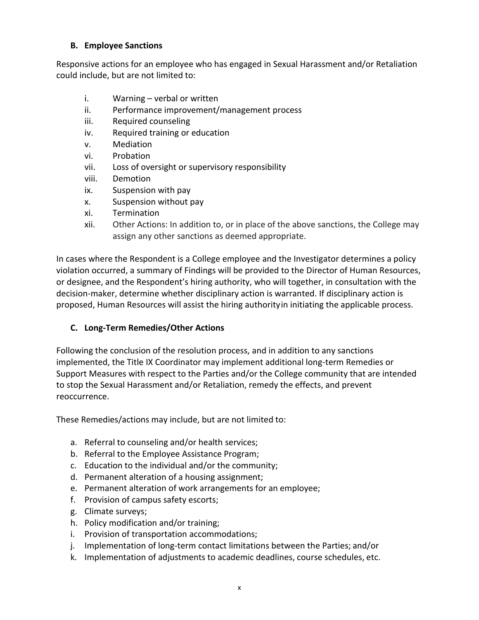#### **B. Employee Sanctions**

Responsive actions for an employee who has engaged in Sexual Harassment and/or Retaliation could include, but are not limited to:

- i. Warning verbal or written
- ii. Performance improvement/management process
- iii. Required counseling
- iv. Required training or education
- v. Mediation
- vi. Probation
- vii. Loss of oversight or supervisory responsibility
- viii. Demotion
- ix. Suspension with pay
- x. Suspension without pay
- xi. Termination
- xii. Other Actions: In addition to, or in place of the above sanctions, the College may assign any other sanctions as deemed appropriate.

In cases where the Respondent is a College employee and the Investigator determines a policy violation occurred, a summary of Findings will be provided to the Director of Human Resources, or designee, and the Respondent's hiring authority, who will together, in consultation with the decision-maker, determine whether disciplinary action is warranted. If disciplinary action is proposed, Human Resources will assist the hiring authorityin initiating the applicable process.

#### **C. Long-Term Remedies/Other Actions**

Following the conclusion of the resolution process, and in addition to any sanctions implemented, the Title IX Coordinator may implement additional long-term Remedies or Support Measures with respect to the Parties and/or the College community that are intended to stop the Sexual Harassment and/or Retaliation, remedy the effects, and prevent reoccurrence.

These Remedies/actions may include, but are not limited to:

- a. Referral to counseling and/or health services;
- b. Referral to the Employee Assistance Program;
- c. Education to the individual and/or the community;
- d. Permanent alteration of a housing assignment;
- e. Permanent alteration of work arrangements for an employee;
- f. Provision of campus safety escorts;
- g. Climate surveys;
- h. Policy modification and/or training;
- i. Provision of transportation accommodations;
- j. Implementation of long-term contact limitations between the Parties; and/or
- k. Implementation of adjustments to academic deadlines, course schedules, etc.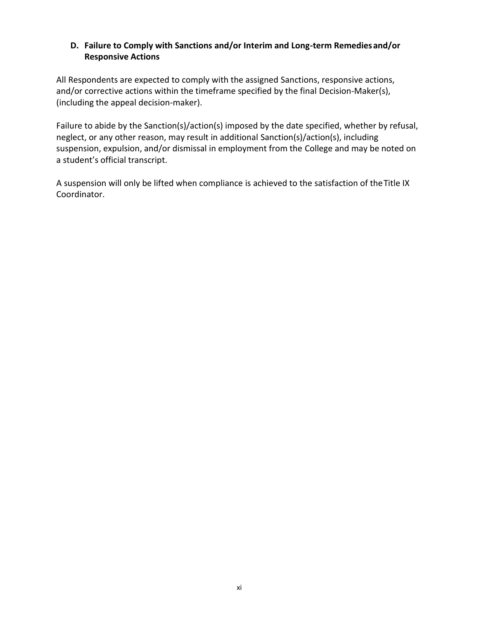#### **D. Failure to Comply with Sanctions and/or Interim and Long-term Remediesand/or Responsive Actions**

All Respondents are expected to comply with the assigned Sanctions, responsive actions, and/or corrective actions within the timeframe specified by the final Decision-Maker(s), (including the appeal decision-maker).

Failure to abide by the Sanction(s)/action(s) imposed by the date specified, whether by refusal, neglect, or any other reason, may result in additional Sanction(s)/action(s), including suspension, expulsion, and/or dismissal in employment from the College and may be noted on a student's official transcript.

A suspension will only be lifted when compliance is achieved to the satisfaction of theTitle IX Coordinator.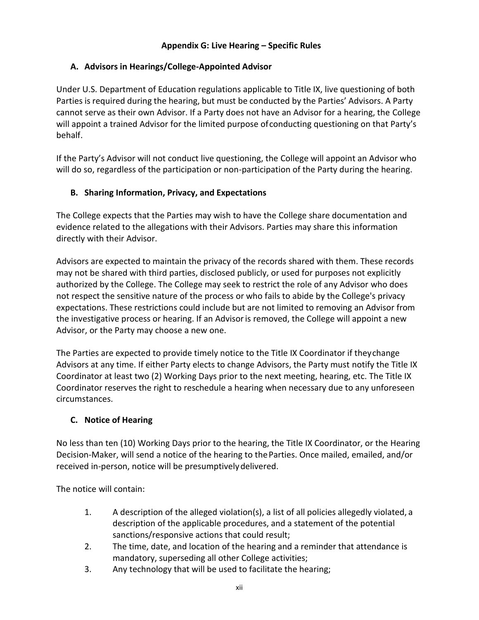#### **Appendix G: Live Hearing – Specific Rules**

#### <span id="page-39-0"></span>**A. Advisors in Hearings/College-Appointed Advisor**

Under U.S. Department of Education regulations applicable to Title IX, live questioning of both Parties is required during the hearing, but must be conducted by the Parties' Advisors. A Party cannot serve as their own Advisor. If a Party does not have an Advisor for a hearing, the College will appoint a trained Advisor for the limited purpose ofconducting questioning on that Party's behalf.

If the Party's Advisor will not conduct live questioning, the College will appoint an Advisor who will do so, regardless of the participation or non-participation of the Party during the hearing.

#### **B. Sharing Information, Privacy, and Expectations**

The College expects that the Parties may wish to have the College share documentation and evidence related to the allegations with their Advisors. Parties may share this information directly with their Advisor.

Advisors are expected to maintain the privacy of the records shared with them. These records may not be shared with third parties, disclosed publicly, or used for purposes not explicitly authorized by the College. The College may seek to restrict the role of any Advisor who does not respect the sensitive nature of the process or who fails to abide by the College's privacy expectations. These restrictions could include but are not limited to removing an Advisor from the investigative process or hearing. If an Advisoris removed, the College will appoint a new Advisor, or the Party may choose a new one.

The Parties are expected to provide timely notice to the Title IX Coordinator if theychange Advisors at any time. If either Party elects to change Advisors, the Party must notify the Title IX Coordinator at least two (2) Working Days prior to the next meeting, hearing, etc. The Title IX Coordinator reserves the right to reschedule a hearing when necessary due to any unforeseen circumstances.

#### **C. Notice of Hearing**

No less than ten (10) Working Days prior to the hearing, the Title IX Coordinator, or the Hearing Decision-Maker, will send a notice of the hearing to theParties. Once mailed, emailed, and/or received in-person, notice will be presumptively delivered.

The notice will contain:

- 1. A description of the alleged violation(s), a list of all policies allegedly violated, a description of the applicable procedures, and a statement of the potential sanctions/responsive actions that could result;
- 2. The time, date, and location of the hearing and a reminder that attendance is mandatory, superseding all other College activities;
- 3. Any technology that will be used to facilitate the hearing;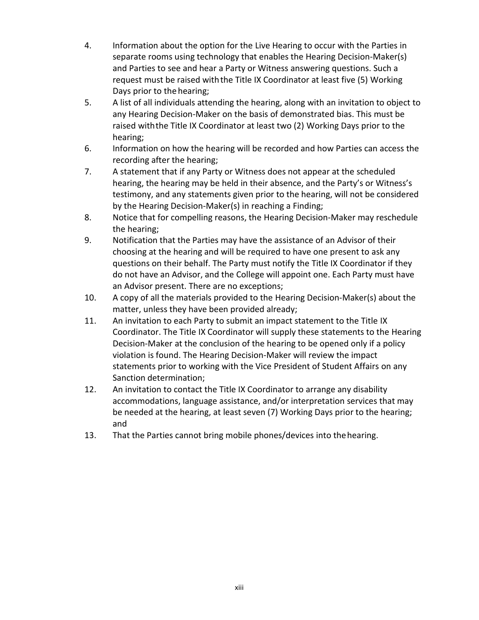- 4. Information about the option for the Live Hearing to occur with the Parties in separate rooms using technology that enables the Hearing Decision-Maker(s) and Parties to see and hear a Party or Witness answering questions. Such a request must be raised withthe Title IX Coordinator at least five (5) Working Days prior to the hearing;
- 5. A list of all individuals attending the hearing, along with an invitation to object to any Hearing Decision-Maker on the basis of demonstrated bias. This must be raised withthe Title IX Coordinator at least two (2) Working Days prior to the hearing;
- 6. Information on how the hearing will be recorded and how Parties can access the recording after the hearing;
- 7. A statement that if any Party or Witness does not appear at the scheduled hearing, the hearing may be held in their absence, and the Party's or Witness's testimony, and any statements given prior to the hearing, will not be considered by the Hearing Decision-Maker(s) in reaching a Finding;
- 8. Notice that for compelling reasons, the Hearing Decision-Maker may reschedule the hearing;
- 9. Notification that the Parties may have the assistance of an Advisor of their choosing at the hearing and will be required to have one present to ask any questions on their behalf. The Party must notify the Title IX Coordinator if they do not have an Advisor, and the College will appoint one. Each Party must have an Advisor present. There are no exceptions;
- 10. A copy of all the materials provided to the Hearing Decision-Maker(s) about the matter, unless they have been provided already;
- 11. An invitation to each Party to submit an impact statement to the Title IX Coordinator. The Title IX Coordinator will supply these statements to the Hearing Decision-Maker at the conclusion of the hearing to be opened only if a policy violation is found. The Hearing Decision-Maker will review the impact statements prior to working with the Vice President of Student Affairs on any Sanction determination;
- 12. An invitation to contact the Title IX Coordinator to arrange any disability accommodations, language assistance, and/or interpretation services that may be needed at the hearing, at least seven (7) Working Days prior to the hearing; and
- 13. That the Parties cannot bring mobile phones/devices into thehearing.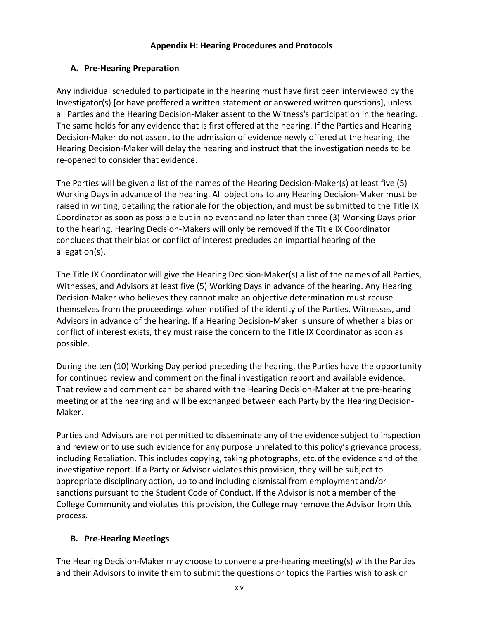#### **Appendix H: Hearing Procedures and Protocols**

#### <span id="page-41-0"></span>**A. Pre-Hearing Preparation**

Any individual scheduled to participate in the hearing must have first been interviewed by the Investigator(s) [or have proffered a written statement or answered written questions], unless all Parties and the Hearing Decision-Maker assent to the Witness's participation in the hearing. The same holds for any evidence that is first offered at the hearing. If the Parties and Hearing Decision-Maker do not assent to the admission of evidence newly offered at the hearing, the Hearing Decision-Maker will delay the hearing and instruct that the investigation needs to be re-opened to consider that evidence.

The Parties will be given a list of the names of the Hearing Decision-Maker(s) at least five (5) Working Days in advance of the hearing. All objections to any Hearing Decision-Maker must be raised in writing, detailing the rationale for the objection, and must be submitted to the Title IX Coordinator as soon as possible but in no event and no later than three (3) Working Days prior to the hearing. Hearing Decision-Makers will only be removed if the Title IX Coordinator concludes that their bias or conflict of interest precludes an impartial hearing of the allegation(s).

The Title IX Coordinator will give the Hearing Decision-Maker(s) a list of the names of all Parties, Witnesses, and Advisors at least five (5) Working Days in advance of the hearing. Any Hearing Decision-Maker who believes they cannot make an objective determination must recuse themselves from the proceedings when notified of the identity of the Parties, Witnesses, and Advisors in advance of the hearing. If a Hearing Decision-Maker is unsure of whether a bias or conflict of interest exists, they must raise the concern to the Title IX Coordinator as soon as possible.

During the ten (10) Working Day period preceding the hearing, the Parties have the opportunity for continued review and comment on the final investigation report and available evidence. That review and comment can be shared with the Hearing Decision-Maker at the pre-hearing meeting or at the hearing and will be exchanged between each Party by the Hearing Decision-Maker.

Parties and Advisors are not permitted to disseminate any of the evidence subject to inspection and review or to use such evidence for any purpose unrelated to this policy's grievance process, including Retaliation. This includes copying, taking photographs, etc.of the evidence and of the investigative report. If a Party or Advisor violatesthis provision, they will be subject to appropriate disciplinary action, up to and including dismissal from employment and/or sanctions pursuant to the Student Code of Conduct. If the Advisor is not a member of the College Community and violates this provision, the College may remove the Advisor from this process.

### **B. Pre-Hearing Meetings**

The Hearing Decision-Maker may choose to convene a pre-hearing meeting(s) with the Parties and their Advisors to invite them to submit the questions or topics the Parties wish to ask or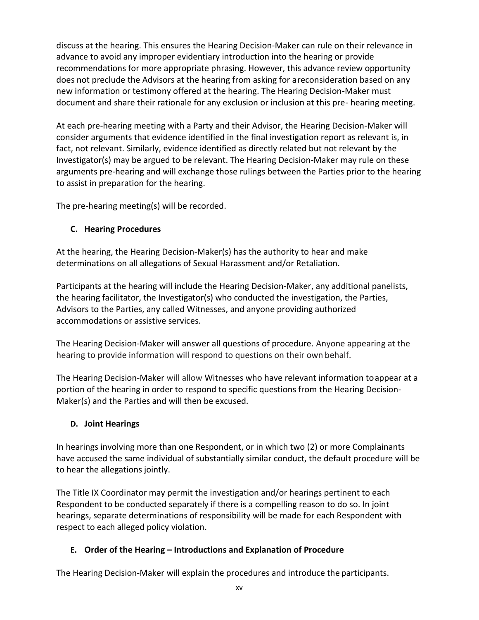discuss at the hearing. This ensures the Hearing Decision-Maker can rule on their relevance in advance to avoid any improper evidentiary introduction into the hearing or provide recommendations for more appropriate phrasing. However, this advance review opportunity does not preclude the Advisors at the hearing from asking for areconsideration based on any new information or testimony offered at the hearing. The Hearing Decision-Maker must document and share their rationale for any exclusion or inclusion at this pre- hearing meeting.

At each pre-hearing meeting with a Party and their Advisor, the Hearing Decision-Maker will consider arguments that evidence identified in the final investigation report as relevant is, in fact, not relevant. Similarly, evidence identified as directly related but not relevant by the Investigator(s) may be argued to be relevant. The Hearing Decision-Maker may rule on these arguments pre-hearing and will exchange those rulings between the Parties prior to the hearing to assist in preparation for the hearing.

The pre-hearing meeting(s) will be recorded.

### **C. Hearing Procedures**

At the hearing, the Hearing Decision-Maker(s) has the authority to hear and make determinations on all allegations of Sexual Harassment and/or Retaliation.

Participants at the hearing will include the Hearing Decision-Maker, any additional panelists, the hearing facilitator, the Investigator(s) who conducted the investigation, the Parties, Advisors to the Parties, any called Witnesses, and anyone providing authorized accommodations or assistive services.

The Hearing Decision-Maker will answer all questions of procedure. Anyone appearing at the hearing to provide information will respond to questions on their own behalf.

The Hearing Decision-Maker will allow Witnesses who have relevant information toappear at a portion of the hearing in order to respond to specific questions from the Hearing Decision-Maker(s) and the Parties and will then be excused.

### **D. Joint Hearings**

In hearings involving more than one Respondent, or in which two (2) or more Complainants have accused the same individual of substantially similar conduct, the default procedure will be to hear the allegations jointly.

The Title IX Coordinator may permit the investigation and/or hearings pertinent to each Respondent to be conducted separately if there is a compelling reason to do so. In joint hearings, separate determinations of responsibility will be made for each Respondent with respect to each alleged policy violation.

### **E. Order of the Hearing – Introductions and Explanation of Procedure**

The Hearing Decision-Maker will explain the procedures and introduce the participants.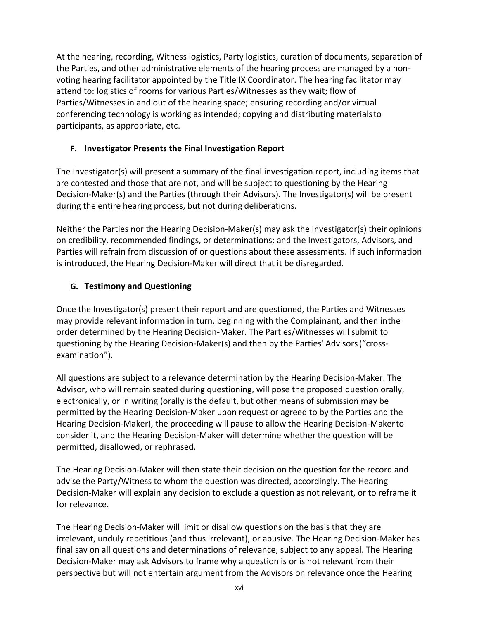At the hearing, recording, Witness logistics, Party logistics, curation of documents, separation of the Parties, and other administrative elements of the hearing process are managed by a nonvoting hearing facilitator appointed by the Title IX Coordinator. The hearing facilitator may attend to: logistics of rooms for various Parties/Witnesses as they wait; flow of Parties/Witnesses in and out of the hearing space; ensuring recording and/or virtual conferencing technology is working as intended; copying and distributing materialsto participants, as appropriate, etc.

### **F. Investigator Presents the Final Investigation Report**

The Investigator(s) will present a summary of the final investigation report, including items that are contested and those that are not, and will be subject to questioning by the Hearing Decision-Maker(s) and the Parties (through their Advisors). The Investigator(s) will be present during the entire hearing process, but not during deliberations.

Neither the Parties nor the Hearing Decision-Maker(s) may ask the Investigator(s) their opinions on credibility, recommended findings, or determinations; and the Investigators, Advisors, and Parties will refrain from discussion of or questions about these assessments. If such information is introduced, the Hearing Decision-Maker will direct that it be disregarded.

### **G. Testimony and Questioning**

Once the Investigator(s) present their report and are questioned, the Parties and Witnesses may provide relevant information in turn, beginning with the Complainant, and then inthe order determined by the Hearing Decision-Maker. The Parties/Witnesses will submit to questioning by the Hearing Decision-Maker(s) and then by the Parties' Advisors("crossexamination").

All questions are subject to a relevance determination by the Hearing Decision-Maker. The Advisor, who will remain seated during questioning, will pose the proposed question orally, electronically, or in writing (orally is the default, but other means of submission may be permitted by the Hearing Decision-Maker upon request or agreed to by the Parties and the Hearing Decision-Maker), the proceeding will pause to allow the Hearing Decision-Makerto consider it, and the Hearing Decision-Maker will determine whether the question will be permitted, disallowed, or rephrased.

The Hearing Decision-Maker will then state their decision on the question for the record and advise the Party/Witness to whom the question was directed, accordingly. The Hearing Decision-Maker will explain any decision to exclude a question as not relevant, or to reframe it for relevance.

The Hearing Decision-Maker will limit or disallow questions on the basis that they are irrelevant, unduly repetitious (and thus irrelevant), or abusive. The Hearing Decision-Maker has final say on all questions and determinations of relevance, subject to any appeal. The Hearing Decision-Maker may ask Advisors to frame why a question is or is not relevantfrom their perspective but will not entertain argument from the Advisors on relevance once the Hearing